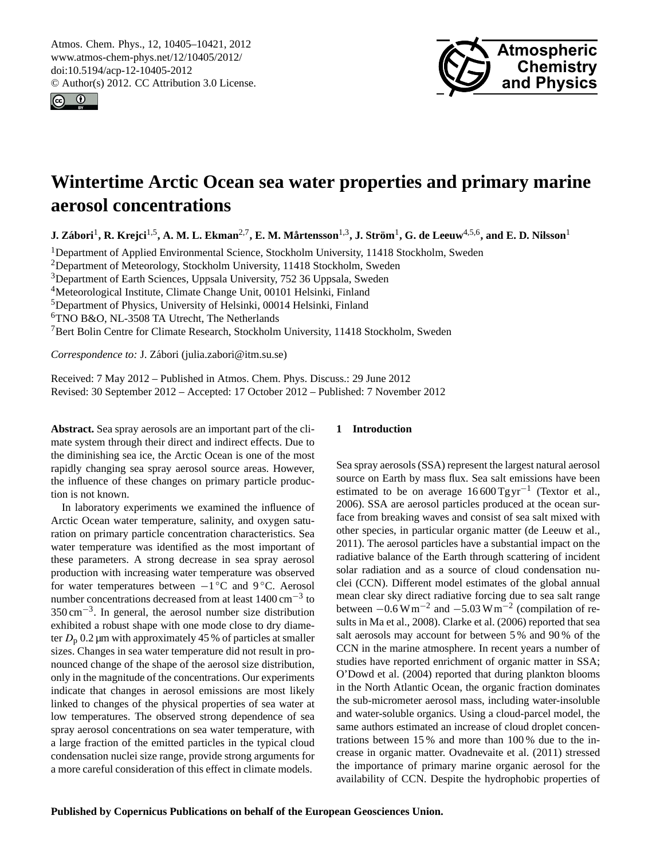<span id="page-0-0"></span>Atmos. Chem. Phys., 12, 10405–10421, 2012 www.atmos-chem-phys.net/12/10405/2012/ doi:10.5194/acp-12-10405-2012 © Author(s) 2012. CC Attribution 3.0 License.





# **Wintertime Arctic Ocean sea water properties and primary marine aerosol concentrations**

 ${\bf J. Zábori}^1, {\bf R. Krejci}^{1,5}, {\bf A. M. L. Ekman}^{2,7}, {\bf E. M. Matrensson}^{1,3}, {\bf J. Ström}^1, {\bf G. de Leeuw}^{4,5,6},$  and  ${\bf E. D. Nilsson}^1$ 

<sup>1</sup>Department of Applied Environmental Science, Stockholm University, 11418 Stockholm, Sweden

<sup>2</sup>Department of Meteorology, Stockholm University, 11418 Stockholm, Sweden

<sup>3</sup>Department of Earth Sciences, Uppsala University, 752 36 Uppsala, Sweden

<sup>4</sup>Meteorological Institute, Climate Change Unit, 00101 Helsinki, Finland

<sup>5</sup>Department of Physics, University of Helsinki, 00014 Helsinki, Finland

<sup>6</sup>TNO B&O, NL-3508 TA Utrecht, The Netherlands

<sup>7</sup>Bert Bolin Centre for Climate Research, Stockholm University, 11418 Stockholm, Sweden

*Correspondence to:* J. Zabori (julia.zabori@itm.su.se) ´

Received: 7 May 2012 – Published in Atmos. Chem. Phys. Discuss.: 29 June 2012 Revised: 30 September 2012 – Accepted: 17 October 2012 – Published: 7 November 2012

**Abstract.** Sea spray aerosols are an important part of the climate system through their direct and indirect effects. Due to the diminishing sea ice, the Arctic Ocean is one of the most rapidly changing sea spray aerosol source areas. However, the influence of these changes on primary particle production is not known.

In laboratory experiments we examined the influence of Arctic Ocean water temperature, salinity, and oxygen saturation on primary particle concentration characteristics. Sea water temperature was identified as the most important of these parameters. A strong decrease in sea spray aerosol production with increasing water temperature was observed for water temperatures between −1 ◦C and 9 ◦C. Aerosol number concentrations decreased from at least 1400 cm<sup>-3</sup> to  $350 \text{ cm}^{-3}$ . In general, the aerosol number size distribution exhibited a robust shape with one mode close to dry diameter  $D_p$  0.2 µm with approximately 45 % of particles at smaller sizes. Changes in sea water temperature did not result in pronounced change of the shape of the aerosol size distribution, only in the magnitude of the concentrations. Our experiments indicate that changes in aerosol emissions are most likely linked to changes of the physical properties of sea water at low temperatures. The observed strong dependence of sea spray aerosol concentrations on sea water temperature, with a large fraction of the emitted particles in the typical cloud condensation nuclei size range, provide strong arguments for a more careful consideration of this effect in climate models.

#### **1 Introduction**

Sea spray aerosols (SSA) represent the largest natural aerosol source on Earth by mass flux. Sea salt emissions have been estimated to be on average 16 600 Tgyr<sup>-1</sup> [\(Textor et al.,](#page-16-0) [2006\)](#page-16-0). SSA are aerosol particles produced at the ocean surface from breaking waves and consist of sea salt mixed with other species, in particular organic matter [\(de Leeuw et al.,](#page-14-0) [2011\)](#page-14-0). The aerosol particles have a substantial impact on the radiative balance of the Earth through scattering of incident solar radiation and as a source of cloud condensation nuclei (CCN). Different model estimates of the global annual mean clear sky direct radiative forcing due to sea salt range between  $-0.6 \text{ W m}^{-2}$  and  $-5.03 \text{ W m}^{-2}$  (compilation of results in [Ma et al.,](#page-15-0) [2008\)](#page-15-0). [Clarke et al.](#page-14-1) [\(2006\)](#page-14-1) reported that sea salt aerosols may account for between 5 % and 90 % of the CCN in the marine atmosphere. In recent years a number of studies have reported enrichment of organic matter in SSA; [O'Dowd et al.](#page-15-1) [\(2004\)](#page-15-1) reported that during plankton blooms in the North Atlantic Ocean, the organic fraction dominates the sub-micrometer aerosol mass, including water-insoluble and water-soluble organics. Using a cloud-parcel model, the same authors estimated an increase of cloud droplet concentrations between 15 % and more than 100 % due to the increase in organic matter. [Ovadnevaite et al.](#page-15-2) [\(2011\)](#page-15-2) stressed the importance of primary marine organic aerosol for the availability of CCN. Despite the hydrophobic properties of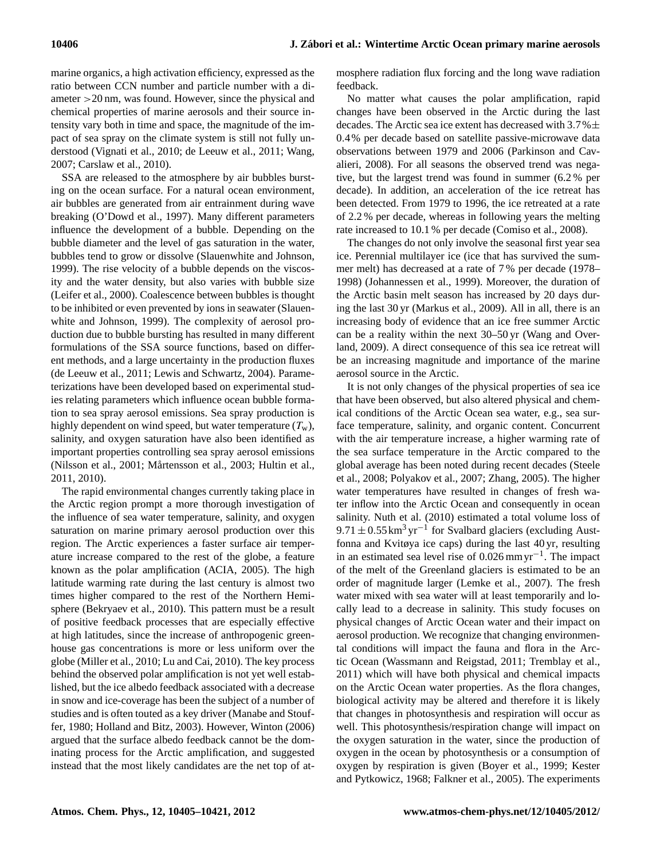marine organics, a high activation efficiency, expressed as the ratio between CCN number and particle number with a diameter >20 nm, was found. However, since the physical and chemical properties of marine aerosols and their source intensity vary both in time and space, the magnitude of the impact of sea spray on the climate system is still not fully understood [\(Vignati et al.,](#page-16-1) [2010;](#page-16-1) [de Leeuw et al.,](#page-14-0) [2011;](#page-14-0) [Wang,](#page-16-2) [2007;](#page-16-2) [Carslaw et al.,](#page-14-2) [2010\)](#page-14-2).

SSA are released to the atmosphere by air bubbles bursting on the ocean surface. For a natural ocean environment, air bubbles are generated from air entrainment during wave breaking [\(O'Dowd et al.,](#page-15-3) [1997\)](#page-15-3). Many different parameters influence the development of a bubble. Depending on the bubble diameter and the level of gas saturation in the water, bubbles tend to grow or dissolve [\(Slauenwhite and Johnson,](#page-15-4) [1999\)](#page-15-4). The rise velocity of a bubble depends on the viscosity and the water density, but also varies with bubble size [\(Leifer et al.,](#page-15-5) [2000\)](#page-15-5). Coalescence between bubbles is thought to be inhibited or even prevented by ions in seawater [\(Slauen](#page-15-4)[white and Johnson,](#page-15-4) [1999\)](#page-15-4). The complexity of aerosol production due to bubble bursting has resulted in many different formulations of the SSA source functions, based on different methods, and a large uncertainty in the production fluxes [\(de Leeuw et al.,](#page-14-0) [2011;](#page-14-0) [Lewis and Schwartz,](#page-15-6) [2004\)](#page-15-6). Parameterizations have been developed based on experimental studies relating parameters which influence ocean bubble formation to sea spray aerosol emissions. Sea spray production is highly dependent on wind speed, but water temperature  $(T_w)$ , salinity, and oxygen saturation have also been identified as important properties controlling sea spray aerosol emissions [\(Nilsson et al.,](#page-15-7) [2001;](#page-15-7) Mårtensson et al., [2003;](#page-15-8) [Hultin et al.,](#page-14-3) [2011,](#page-14-3) [2010\)](#page-14-4).

The rapid environmental changes currently taking place in the Arctic region prompt a more thorough investigation of the influence of sea water temperature, salinity, and oxygen saturation on marine primary aerosol production over this region. The Arctic experiences a faster surface air temperature increase compared to the rest of the globe, a feature known as the polar amplification [\(ACIA,](#page-14-5) [2005\)](#page-14-5). The high latitude warming rate during the last century is almost two times higher compared to the rest of the Northern Hemisphere [\(Bekryaev et al.,](#page-14-6) [2010\)](#page-14-6). This pattern must be a result of positive feedback processes that are especially effective at high latitudes, since the increase of anthropogenic greenhouse gas concentrations is more or less uniform over the globe [\(Miller et al.,](#page-15-9) [2010;](#page-15-9) [Lu and Cai,](#page-15-10) [2010\)](#page-15-10). The key process behind the observed polar amplification is not yet well established, but the ice albedo feedback associated with a decrease in snow and ice-coverage has been the subject of a number of studies and is often touted as a key driver [\(Manabe and Stouf](#page-15-11)[fer,](#page-15-11) [1980;](#page-15-11) [Holland and Bitz,](#page-14-7) [2003\)](#page-14-7). However, [Winton](#page-16-3) [\(2006\)](#page-16-3) argued that the surface albedo feedback cannot be the dominating process for the Arctic amplification, and suggested instead that the most likely candidates are the net top of atmosphere radiation flux forcing and the long wave radiation feedback.

No matter what causes the polar amplification, rapid changes have been observed in the Arctic during the last decades. The Arctic sea ice extent has decreased with  $3.7\% \pm$ 0.4% per decade based on satellite passive-microwave data observations between 1979 and 2006 [\(Parkinson and Cav](#page-15-12)[alieri,](#page-15-12) [2008\)](#page-15-12). For all seasons the observed trend was negative, but the largest trend was found in summer (6.2 % per decade). In addition, an acceleration of the ice retreat has been detected. From 1979 to 1996, the ice retreated at a rate of 2.2 % per decade, whereas in following years the melting rate increased to 10.1 % per decade [\(Comiso et al.,](#page-14-8) [2008\)](#page-14-8).

The changes do not only involve the seasonal first year sea ice. Perennial multilayer ice (ice that has survived the summer melt) has decreased at a rate of 7 % per decade (1978– 1998) [\(Johannessen et al.,](#page-14-9) [1999\)](#page-14-9). Moreover, the duration of the Arctic basin melt season has increased by 20 days during the last 30 yr [\(Markus et al.,](#page-15-13) [2009\)](#page-15-13). All in all, there is an increasing body of evidence that an ice free summer Arctic can be a reality within the next 30–50 yr [\(Wang and Over](#page-16-4)[land,](#page-16-4) [2009\)](#page-16-4). A direct consequence of this sea ice retreat will be an increasing magnitude and importance of the marine aerosol source in the Arctic.

It is not only changes of the physical properties of sea ice that have been observed, but also altered physical and chemical conditions of the Arctic Ocean sea water, e.g., sea surface temperature, salinity, and organic content. Concurrent with the air temperature increase, a higher warming rate of the sea surface temperature in the Arctic compared to the global average has been noted during recent decades [\(Steele](#page-15-14) [et al.,](#page-15-14) [2008;](#page-15-14) [Polyakov et al.,](#page-15-15) [2007;](#page-15-15) [Zhang,](#page-16-5) [2005\)](#page-16-5). The higher water temperatures have resulted in changes of fresh water inflow into the Arctic Ocean and consequently in ocean salinity. [Nuth et al.](#page-15-16) [\(2010\)](#page-15-16) estimated a total volume loss of  $9.71 \pm 0.55$  km<sup>3</sup> yr<sup>-1</sup> for Svalbard glaciers (excluding Austfonna and Kvitøya ice caps) during the last 40 yr, resulting in an estimated sea level rise of 0.026 mmyr−<sup>1</sup> . The impact of the melt of the Greenland glaciers is estimated to be an order of magnitude larger [\(Lemke et al.,](#page-15-17) [2007\)](#page-15-17). The fresh water mixed with sea water will at least temporarily and locally lead to a decrease in salinity. This study focuses on physical changes of Arctic Ocean water and their impact on aerosol production. We recognize that changing environmental conditions will impact the fauna and flora in the Arctic Ocean [\(Wassmann and Reigstad,](#page-16-6) [2011;](#page-16-6) [Tremblay et al.,](#page-16-7) [2011\)](#page-16-7) which will have both physical and chemical impacts on the Arctic Ocean water properties. As the flora changes, biological activity may be altered and therefore it is likely that changes in photosynthesis and respiration will occur as well. This photosynthesis/respiration change will impact on the oxygen saturation in the water, since the production of oxygen in the ocean by photosynthesis or a consumption of oxygen by respiration is given [\(Boyer et al.,](#page-14-10) [1999;](#page-14-10) [Kester](#page-14-11) [and Pytkowicz,](#page-14-11) [1968;](#page-14-11) [Falkner et al.,](#page-14-12) [2005\)](#page-14-12). The experiments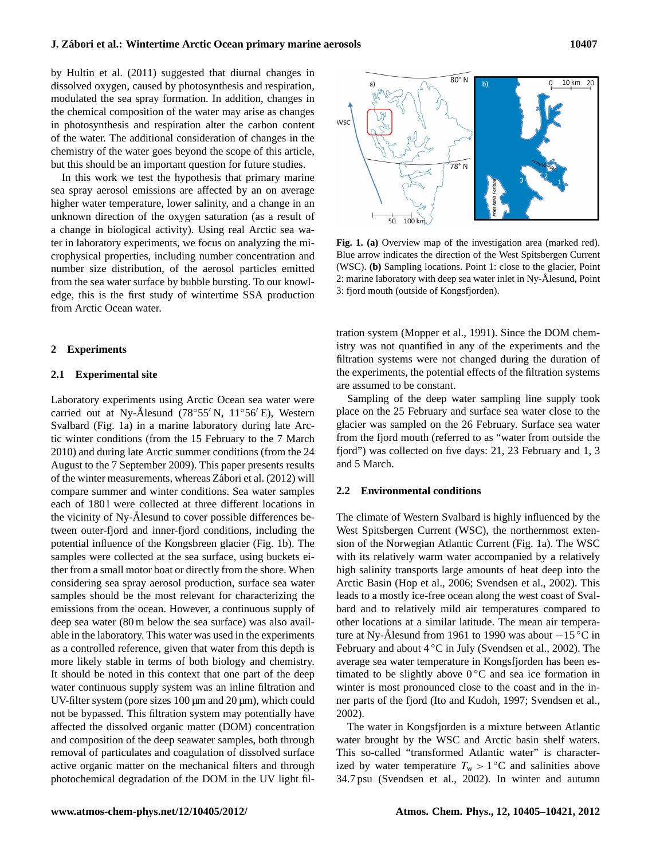#### **J. Zabori et al.: Wintertime Arctic Ocean primary marine aerosols 10407 ´**

by [Hultin et al.](#page-14-3) [\(2011\)](#page-14-3) suggested that diurnal changes in dissolved oxygen, caused by photosynthesis and respiration, modulated the sea spray formation. In addition, changes in the chemical composition of the water may arise as changes in photosynthesis and respiration alter the carbon content of the water. The additional consideration of changes in the chemistry of the water goes beyond the scope of this article, but this should be an important question for future studies.

In this work we test the hypothesis that primary marine sea spray aerosol emissions are affected by an on average higher water temperature, lower salinity, and a change in an unknown direction of the oxygen saturation (as a result of a change in biological activity). Using real Arctic sea water in laboratory experiments, we focus on analyzing the microphysical properties, including number concentration and number size distribution, of the aerosol particles emitted from the sea water surface by bubble bursting. To our knowledge, this is the first study of wintertime SSA production from Arctic Ocean water.

#### **2 Experiments**

#### <span id="page-2-1"></span>**2.1 Experimental site**

Laboratory experiments using Arctic Ocean sea water were carried out at Ny-Ålesund (78°55'N, 11°56'E), Western Svalbard (Fig. [1a](#page-2-0)) in a marine laboratory during late Arctic winter conditions (from the 15 February to the 7 March 2010) and during late Arctic summer conditions (from the 24 August to the 7 September 2009). This paper presents results of the winter measurements, whereas Zábori et al. [\(2012\)](#page-16-8) will compare summer and winter conditions. Sea water samples each of 1801 were collected at three different locations in the vicinity of Ny-Ålesund to cover possible differences between outer-fjord and inner-fjord conditions, including the potential influence of the Kongsbreen glacier (Fig. [1b](#page-2-0)). The samples were collected at the sea surface, using buckets either from a small motor boat or directly from the shore. When considering sea spray aerosol production, surface sea water samples should be the most relevant for characterizing the emissions from the ocean. However, a continuous supply of deep sea water (80 m below the sea surface) was also available in the laboratory. This water was used in the experiments as a controlled reference, given that water from this depth is more likely stable in terms of both biology and chemistry. It should be noted in this context that one part of the deep water continuous supply system was an inline filtration and UV-filter system (pore sizes  $100 \mu m$  and  $20 \mu m$ ), which could not be bypassed. This filtration system may potentially have affected the dissolved organic matter (DOM) concentration and composition of the deep seawater samples, both through removal of particulates and coagulation of dissolved surface active organic matter on the mechanical filters and through photochemical degradation of the DOM in the UV light filtration system [\(Mopper et al.,](#page-15-18) [1991\)](#page-15-18). Since the DOM chemistry was not quantified in any of the experiments and the filtration systems were not changed during the duration of the experiments, the potential effects of the filtration systems are assumed to be constant.

Sampling of the deep water sampling line supply took place on the 25 February and surface sea water close to the glacier was sampled on the 26 February. Surface sea water from the fjord mouth (referred to as "water from outside the fjord") was collected on five days: 21, 23 February and 1, 3 and 5 March.

#### **2.2 Environmental conditions**

3: fjord mouth (outside of Kongsfjorden).

The climate of Western Svalbard is highly influenced by the West Spitsbergen Current (WSC), the northernmost extension of the Norwegian Atlantic Current (Fig. [1a](#page-2-0)). The WSC with its relatively warm water accompanied by a relatively high salinity transports large amounts of heat deep into the Arctic Basin [\(Hop et al.,](#page-14-13) [2006;](#page-14-13) [Svendsen et al.,](#page-15-19) [2002\)](#page-15-19). This leads to a mostly ice-free ocean along the west coast of Svalbard and to relatively mild air temperatures compared to other locations at a similar latitude. The mean air temperature at Ny-Ålesund from 1961 to 1990 was about  $-15$  °C in February and about  $4^{\circ}$ C in July [\(Svendsen et al.,](#page-15-19) [2002\)](#page-15-19). The average sea water temperature in Kongsfjorden has been estimated to be slightly above  $0^{\circ}$ C and sea ice formation in winter is most pronounced close to the coast and in the inner parts of the fjord [\(Ito and Kudoh,](#page-14-14) [1997;](#page-14-14) [Svendsen et al.,](#page-15-19) [2002\)](#page-15-19).

The water in Kongsfjorden is a mixture between Atlantic water brought by the WSC and Arctic basin shelf waters. This so-called "transformed Atlantic water" is characterized by water temperature  $T_w > 1$ °C and salinities above 34.7 psu [\(Svendsen et al.,](#page-15-19) [2002\)](#page-15-19). In winter and autumn



<span id="page-2-0"></span>**Fig. 1. (a)** Overview map of the investigation area (marked red). Blue arrow indicates the direction of the West Spitsbergen Current (WSC). **(b)** Sampling locations. Point 1: close to the glacier, Point 2: marine laboratory with deep sea water inlet in Ny-Ålesund, Point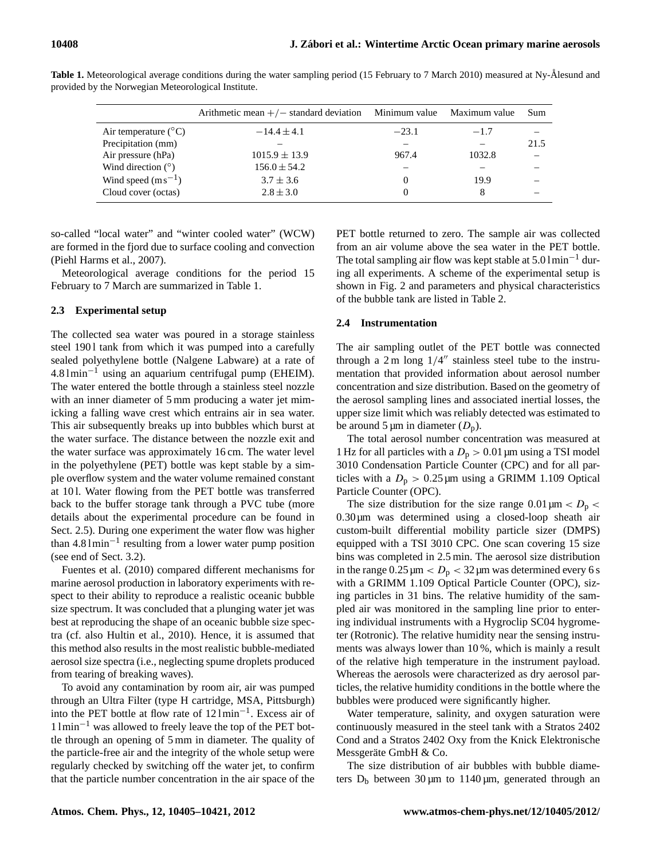<span id="page-3-0"></span>

|                               | Arithmetic mean $+/-$ standard deviation Minimum value Maximum value |         |        | Sum  |
|-------------------------------|----------------------------------------------------------------------|---------|--------|------|
| Air temperature $(^{\circ}C)$ | $-14.4 \pm 4.1$                                                      | $-23.1$ | $-1.7$ |      |
| Precipitation (mm)            |                                                                      |         |        | 21.5 |
| Air pressure (hPa)            | $1015.9 \pm 13.9$                                                    | 967.4   | 1032.8 |      |
| Wind direction $(°)$          | $156.0 \pm 54.2$                                                     |         |        |      |
| Wind speed $(m s^{-1})$       | $3.7 \pm 3.6$                                                        |         | 19.9   |      |
| Cloud cover (octas)           | $2.8 \pm 3.0$                                                        |         | 8      |      |
|                               |                                                                      |         |        |      |

**Table 1.** Meteorological average conditions during the water sampling period (15 February to 7 March 2010) measured at Ny-Ålesund and provided by the Norwegian Meteorological Institute.

so-called "local water" and "winter cooled water" (WCW) are formed in the fjord due to surface cooling and convection [\(Piehl Harms et al.,](#page-15-20) [2007\)](#page-15-20).

Meteorological average conditions for the period 15 February to 7 March are summarized in Table [1.](#page-3-0)

#### **2.3 Experimental setup**

The collected sea water was poured in a storage stainless steel 1901 tank from which it was pumped into a carefully sealed polyethylene bottle (Nalgene Labware) at a rate of 4.8 lmin−<sup>1</sup> using an aquarium centrifugal pump (EHEIM). The water entered the bottle through a stainless steel nozzle with an inner diameter of 5 mm producing a water jet mimicking a falling wave crest which entrains air in sea water. This air subsequently breaks up into bubbles which burst at the water surface. The distance between the nozzle exit and the water surface was approximately 16 cm. The water level in the polyethylene (PET) bottle was kept stable by a simple overflow system and the water volume remained constant at 101. Water flowing from the PET bottle was transferred back to the buffer storage tank through a PVC tube (more details about the experimental procedure can be found in Sect. [2.5\)](#page-4-0). During one experiment the water flow was higher than 4.8 lmin−<sup>1</sup> resulting from a lower water pump position (see end of Sect. [3.2\)](#page-5-0).

[Fuentes et al.](#page-14-15) [\(2010\)](#page-14-15) compared different mechanisms for marine aerosol production in laboratory experiments with respect to their ability to reproduce a realistic oceanic bubble size spectrum. It was concluded that a plunging water jet was best at reproducing the shape of an oceanic bubble size spectra (cf. also [Hultin et al.,](#page-14-4) [2010\)](#page-14-4). Hence, it is assumed that this method also results in the most realistic bubble-mediated aerosol size spectra (i.e., neglecting spume droplets produced from tearing of breaking waves).

To avoid any contamination by room air, air was pumped through an Ultra Filter (type H cartridge, MSA, Pittsburgh) into the PET bottle at flow rate of 12 lmin−<sup>1</sup> . Excess air of 1 lmin−<sup>1</sup> was allowed to freely leave the top of the PET bottle through an opening of 5 mm in diameter. The quality of the particle-free air and the integrity of the whole setup were regularly checked by switching off the water jet, to confirm that the particle number concentration in the air space of the PET bottle returned to zero. The sample air was collected from an air volume above the sea water in the PET bottle. The total sampling air flow was kept stable at 5.0 lmin−<sup>1</sup> during all experiments. A scheme of the experimental setup is shown in Fig. [2](#page-4-1) and parameters and physical characteristics of the bubble tank are listed in Table [2.](#page-4-2)

#### **2.4 Instrumentation**

The air sampling outlet of the PET bottle was connected through a  $2 \text{ m}$  long  $1/4''$  stainless steel tube to the instrumentation that provided information about aerosol number concentration and size distribution. Based on the geometry of the aerosol sampling lines and associated inertial losses, the upper size limit which was reliably detected was estimated to be around 5  $\mu$ m in diameter ( $D_p$ ).

The total aerosol number concentration was measured at 1 Hz for all particles with a  $D_p > 0.01 \,\mu\text{m}$  using a TSI model 3010 Condensation Particle Counter (CPC) and for all particles with a  $D_p > 0.25 \,\mu\text{m}$  using a GRIMM 1.109 Optical Particle Counter (OPC).

The size distribution for the size range  $0.01 \,\text{\mu m} < D_{\text{p}} <$ 0.30µm was determined using a closed-loop sheath air custom-built differential mobility particle sizer (DMPS) equipped with a TSI 3010 CPC. One scan covering 15 size bins was completed in 2.5 min. The aerosol size distribution in the range  $0.25 \mu m < D_p < 32 \mu m$  was determined every 6 s with a GRIMM 1.109 Optical Particle Counter (OPC), sizing particles in 31 bins. The relative humidity of the sampled air was monitored in the sampling line prior to entering individual instruments with a Hygroclip SC04 hygrometer (Rotronic). The relative humidity near the sensing instruments was always lower than 10 %, which is mainly a result of the relative high temperature in the instrument payload. Whereas the aerosols were characterized as dry aerosol particles, the relative humidity conditions in the bottle where the bubbles were produced were significantly higher.

Water temperature, salinity, and oxygen saturation were continuously measured in the steel tank with a Stratos 2402 Cond and a Stratos 2402 Oxy from the Knick Elektronische Messgeräte GmbH & Co.

The size distribution of air bubbles with bubble diameters  $D_b$  between 30 µm to 1140 µm, generated through an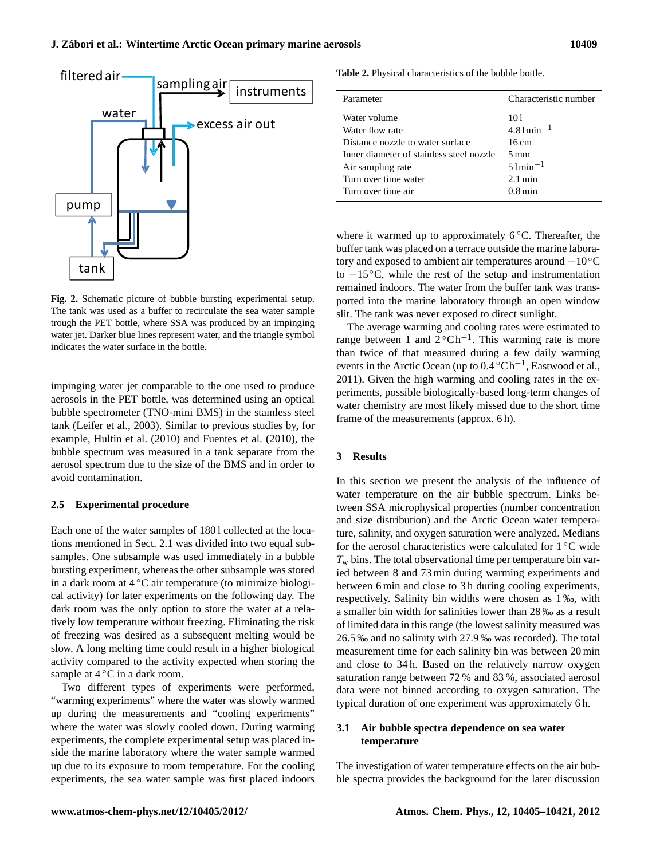

<span id="page-4-1"></span>**Fig. 2.** Schematic picture of bubble bursting experimental setup. The tank was used as a buffer to recirculate the sea water sample trough the PET bottle, where SSA was produced by an impinging water jet. Darker blue lines represent water, and the triangle symbol indicates the water surface in the bottle.

impinging water jet comparable to the one used to produce aerosols in the PET bottle, was determined using an optical bubble spectrometer (TNO-mini BMS) in the stainless steel tank [\(Leifer et al.,](#page-15-21) [2003\)](#page-15-21). Similar to previous studies by, for example, [Hultin et al.](#page-14-4) [\(2010\)](#page-14-4) and [Fuentes et al.](#page-14-15) [\(2010\)](#page-14-15), the bubble spectrum was measured in a tank separate from the aerosol spectrum due to the size of the BMS and in order to avoid contamination.

#### <span id="page-4-0"></span>**2.5 Experimental procedure**

Each one of the water samples of 1801 collected at the locations mentioned in Sect. [2.1](#page-2-1) was divided into two equal subsamples. One subsample was used immediately in a bubble bursting experiment, whereas the other subsample was stored in a dark room at 4 ◦C air temperature (to minimize biological activity) for later experiments on the following day. The dark room was the only option to store the water at a relatively low temperature without freezing. Eliminating the risk of freezing was desired as a subsequent melting would be slow. A long melting time could result in a higher biological activity compared to the activity expected when storing the sample at 4 °C in a dark room.

Two different types of experiments were performed, "warming experiments" where the water was slowly warmed up during the measurements and "cooling experiments" where the water was slowly cooled down. During warming experiments, the complete experimental setup was placed inside the marine laboratory where the water sample warmed up due to its exposure to room temperature. For the cooling experiments, the sea water sample was first placed indoors

<span id="page-4-2"></span>**Table 2.** Physical characteristics of the bubble bottle.

| Parameter                                | Characteristic number    |  |
|------------------------------------------|--------------------------|--|
| Water volume                             | 101                      |  |
| Water flow rate                          | $4.81$ min <sup>-1</sup> |  |
| Distance nozzle to water surface         | 16cm                     |  |
| Inner diameter of stainless steel nozzle | $5 \,\mathrm{mm}$        |  |
| Air sampling rate                        | $51$ min <sup>-1</sup>   |  |
| Turn over time water                     | $2.1 \,\mathrm{min}$     |  |
| Turn over time air                       | $0.8 \,\mathrm{min}$     |  |

where it warmed up to approximately  $6^{\circ}$ C. Thereafter, the buffer tank was placed on a terrace outside the marine laboratory and exposed to ambient air temperatures around −10◦C to  $-15\degree C$ , while the rest of the setup and instrumentation remained indoors. The water from the buffer tank was transported into the marine laboratory through an open window slit. The tank was never exposed to direct sunlight.

The average warming and cooling rates were estimated to range between 1 and  $2^{\circ}Ch^{-1}$ . This warming rate is more than twice of that measured during a few daily warming events in the Arctic Ocean (up to 0.4 °Ch<sup>-1</sup>, [Eastwood et al.,](#page-14-16) [2011\)](#page-14-16). Given the high warming and cooling rates in the experiments, possible biologically-based long-term changes of water chemistry are most likely missed due to the short time frame of the measurements (approx. 6 h).

#### **3 Results**

In this section we present the analysis of the influence of water temperature on the air bubble spectrum. Links between SSA microphysical properties (number concentration and size distribution) and the Arctic Ocean water temperature, salinity, and oxygen saturation were analyzed. Medians for the aerosol characteristics were calculated for 1 ◦C wide  $T_w$  bins. The total observational time per temperature bin varied between 8 and 73 min during warming experiments and between 6 min and close to 3 h during cooling experiments, respectively. Salinity bin widths were chosen as 1 ‰, with a smaller bin width for salinities lower than 28 ‰ as a result of limited data in this range (the lowest salinity measured was 26.5 ‰ and no salinity with 27.9 ‰ was recorded). The total measurement time for each salinity bin was between 20 min and close to 34 h. Based on the relatively narrow oxygen saturation range between 72 % and 83 %, associated aerosol data were not binned according to oxygen saturation. The typical duration of one experiment was approximately 6 h.

## **3.1 Air bubble spectra dependence on sea water temperature**

The investigation of water temperature effects on the air bubble spectra provides the background for the later discussion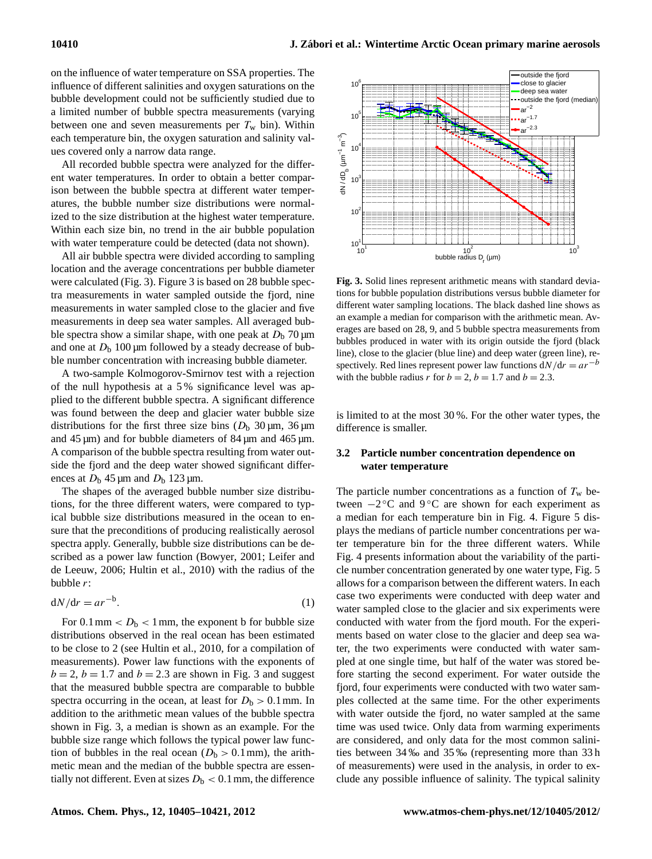on the influence of water temperature on SSA properties. The influence of different salinities and oxygen saturations on the bubble development could not be sufficiently studied due to a limited number of bubble spectra measurements (varying between one and seven measurements per  $T_w$  bin). Within each temperature bin, the oxygen saturation and salinity values covered only a narrow data range.

All recorded bubble spectra were analyzed for the different water temperatures. In order to obtain a better comparison between the bubble spectra at different water temperatures, the bubble number size distributions were normalized to the size distribution at the highest water temperature. Within each size bin, no trend in the air bubble population with water temperature could be detected (data not shown).

All air bubble spectra were divided according to sampling location and the average concentrations per bubble diameter were calculated (Fig. [3\)](#page-5-1). Figure [3](#page-5-1) is based on 28 bubble spectra measurements in water sampled outside the fjord, nine measurements in water sampled close to the glacier and five measurements in deep sea water samples. All averaged bubble spectra show a similar shape, with one peak at  $D_b$  70  $\mu$ m and one at  $D_b$  100 µm followed by a steady decrease of bubble number concentration with increasing bubble diameter.

A two-sample Kolmogorov-Smirnov test with a rejection of the null hypothesis at a 5 % significance level was applied to the different bubble spectra. A significant difference was found between the deep and glacier water bubble size distributions for the first three size bins ( $D_b$  30  $\mu$ m, 36  $\mu$ m and 45 µm) and for bubble diameters of 84 µm and 465 µm. A comparison of the bubble spectra resulting from water outside the fjord and the deep water showed significant differences at  $D_b$  45 µm and  $D_b$  123 µm.

The shapes of the averaged bubble number size distributions, for the three different waters, were compared to typical bubble size distributions measured in the ocean to ensure that the preconditions of producing realistically aerosol spectra apply. Generally, bubble size distributions can be described as a power law function [\(Bowyer,](#page-14-17) [2001;](#page-14-17) [Leifer and](#page-15-22) [de Leeuw,](#page-15-22) [2006;](#page-15-22) [Hultin et al.,](#page-14-4) [2010\)](#page-14-4) with the radius of the bubble r:

$$
dN/dr = ar^{-b}.\tag{1}
$$

For  $0.1 \text{ mm} < D<sub>b</sub> < 1 \text{ mm}$ , the exponent b for bubble size distributions observed in the real ocean has been estimated to be close to 2 (see [Hultin et al.,](#page-14-4) [2010,](#page-14-4) for a compilation of measurements). Power law functions with the exponents of  $b = 2$ ,  $b = 1.7$  and  $b = 2.3$  $b = 2.3$  are shown in Fig. 3 and suggest that the measured bubble spectra are comparable to bubble spectra occurring in the ocean, at least for  $D_b > 0.1$  mm. In addition to the arithmetic mean values of the bubble spectra shown in Fig. [3,](#page-5-1) a median is shown as an example. For the bubble size range which follows the typical power law function of bubbles in the real ocean ( $D<sub>b</sub> > 0.1$  mm), the arithmetic mean and the median of the bubble spectra are essentially not different. Even at sizes  $D_b < 0.1$  mm, the difference



<span id="page-5-1"></span>**Fig. 3.** Solid lines represent arithmetic means with standard deviations for bubble population distributions versus bubble diameter for different water sampling locations. The black dashed line shows as an example a median for comparison with the arithmetic mean. Averages are based on 28, 9, and 5 bubble spectra measurements from bubbles produced in water with its origin outside the fjord (black line), close to the glacier (blue line) and deep water (green line), respectively. Red lines represent power law functions  $dN/dr = ar^{-b}$ with the bubble radius r for  $b = 2$ ,  $b = 1.7$  and  $b = 2.3$ .

is limited to at the most 30 %. For the other water types, the difference is smaller.

## <span id="page-5-0"></span>**3.2 Particle number concentration dependence on water temperature**

The particle number concentrations as a function of  $T_w$  between −2 ◦C and 9 ◦C are shown for each experiment as a median for each temperature bin in Fig. [4.](#page-6-0) Figure [5](#page-6-1) displays the medians of particle number concentrations per water temperature bin for the three different waters. While Fig. [4](#page-6-0) presents information about the variability of the particle number concentration generated by one water type, Fig. [5](#page-6-1) allows for a comparison between the different waters. In each case two experiments were conducted with deep water and water sampled close to the glacier and six experiments were conducted with water from the fjord mouth. For the experiments based on water close to the glacier and deep sea water, the two experiments were conducted with water sampled at one single time, but half of the water was stored before starting the second experiment. For water outside the fjord, four experiments were conducted with two water samples collected at the same time. For the other experiments with water outside the fjord, no water sampled at the same time was used twice. Only data from warming experiments are considered, and only data for the most common salinities between 34 ‰ and 35 ‰ (representing more than 33 h of measurements) were used in the analysis, in order to exclude any possible influence of salinity. The typical salinity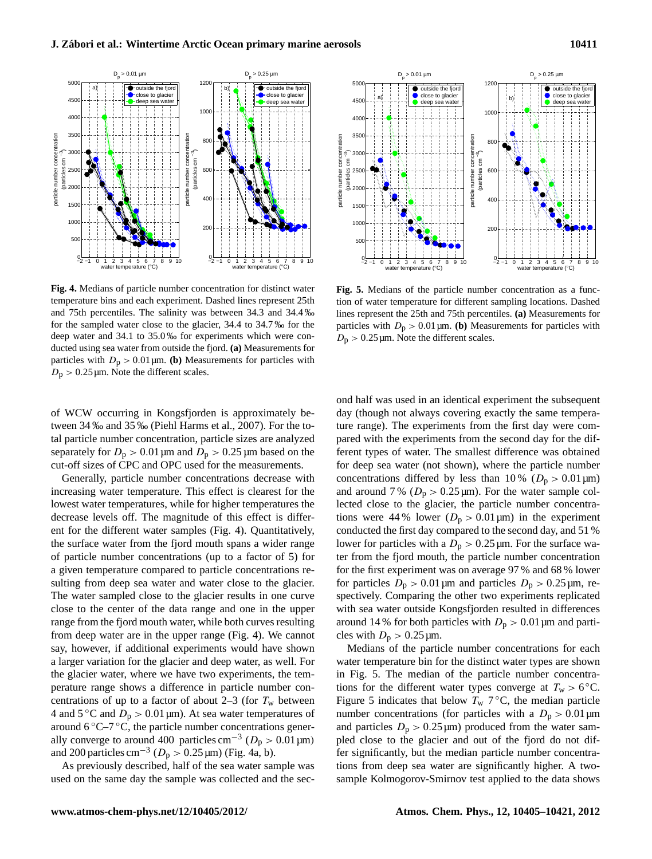

<span id="page-6-0"></span>**Fig. 4.** Medians of particle number concentration for distinct water temperature bins and each experiment. Dashed lines represent 25th and 75th percentiles. The salinity was between 34.3 and 34.4 ‰ for the sampled water close to the glacier, 34.4 to 34.7 ‰ for the deep water and 34.1 to 35.0 ‰ for experiments which were conducted using sea water from outside the fjord. **(a)** Measurements for particles with  $D_p > 0.01 \,\text{\mu m}$ . **(b)** Measurements for particles with  $D_p > 0.25 \,\text{\mu m}$ . Note the different scales.

of WCW occurring in Kongsfjorden is approximately between 34 ‰ and 35 ‰ [\(Piehl Harms et al.,](#page-15-20) [2007\)](#page-15-20). For the total particle number concentration, particle sizes are analyzed separately for  $D_p > 0.01 \,\text{\mu m}$  and  $D_p > 0.25 \,\text{\mu m}$  based on the cut-off sizes of CPC and OPC used for the measurements.

Generally, particle number concentrations decrease with increasing water temperature. This effect is clearest for the lowest water temperatures, while for higher temperatures the decrease levels off. The magnitude of this effect is different for the different water samples (Fig. [4\)](#page-6-0). Quantitatively, the surface water from the fjord mouth spans a wider range of particle number concentrations (up to a factor of 5) for a given temperature compared to particle concentrations resulting from deep sea water and water close to the glacier. The water sampled close to the glacier results in one curve close to the center of the data range and one in the upper range from the fjord mouth water, while both curves resulting from deep water are in the upper range (Fig. [4\)](#page-6-0). We cannot say, however, if additional experiments would have shown a larger variation for the glacier and deep water, as well. For the glacier water, where we have two experiments, the temperature range shows a difference in particle number concentrations of up to a factor of about 2–3 (for  $T_w$  between 4 and  $5^{\circ}$ C and  $D_p > 0.01 \,\mu$ m). At sea water temperatures of around  $6^{\circ}$ C–7 $^{\circ}$ C, the particle number concentrations generally converge to around 400 particles cm<sup>-3</sup> ( $D_p > 0.01 \,\text{\mu m}$ ) and 200 particles cm<sup>-3</sup> ( $D_p > 0.25 \,\mu$ m) (Fig. [4a](#page-6-0), b).

As previously described, half of the sea water sample was used on the same day the sample was collected and the sec-



<span id="page-6-1"></span>**Fig. 5.** Medians of the particle number concentration as a function of water temperature for different sampling locations. Dashed lines represent the 25th and 75th percentiles. **(a)** Measurements for particles with  $D_p > 0.01 \,\text{\mu m}$ . **(b)** Measurements for particles with  $D_p > 0.25 \,\text{\mu m}$ . Note the different scales.

ond half was used in an identical experiment the subsequent day (though not always covering exactly the same temperature range). The experiments from the first day were compared with the experiments from the second day for the different types of water. The smallest difference was obtained for deep sea water (not shown), where the particle number concentrations differed by less than 10 % ( $D_p > 0.01 \,\text{\mu m}$ ) and around 7% ( $D_p > 0.25 \,\text{\mu m}$ ). For the water sample collected close to the glacier, the particle number concentrations were 44 % lower  $(D_p > 0.01 \,\text{\mu m})$  in the experiment conducted the first day compared to the second day, and 51 % lower for particles with a  $D_p > 0.25 \,\text{\mu m}$ . For the surface water from the fjord mouth, the particle number concentration for the first experiment was on average 97 % and 68 % lower for particles  $D_p > 0.01 \,\text{\mu m}$  and particles  $D_p > 0.25 \,\text{\mu m}$ , respectively. Comparing the other two experiments replicated with sea water outside Kongsfjorden resulted in differences around 14 % for both particles with  $D_p > 0.01 \,\mu\text{m}$  and particles with  $D_p > 0.25 \,\text{\mu m}$ .

Medians of the particle number concentrations for each water temperature bin for the distinct water types are shown in Fig. [5.](#page-6-1) The median of the particle number concentrations for the different water types converge at  $T_w > 6$ °C. Figure [5](#page-6-1) indicates that below  $T_w$  7°C, the median particle number concentrations (for particles with a  $D_p > 0.01 \,\text{\mu m}$ and particles  $D_p > 0.25 \,\text{\mu m}$  produced from the water sampled close to the glacier and out of the fjord do not differ significantly, but the median particle number concentrations from deep sea water are significantly higher. A twosample Kolmogorov-Smirnov test applied to the data shows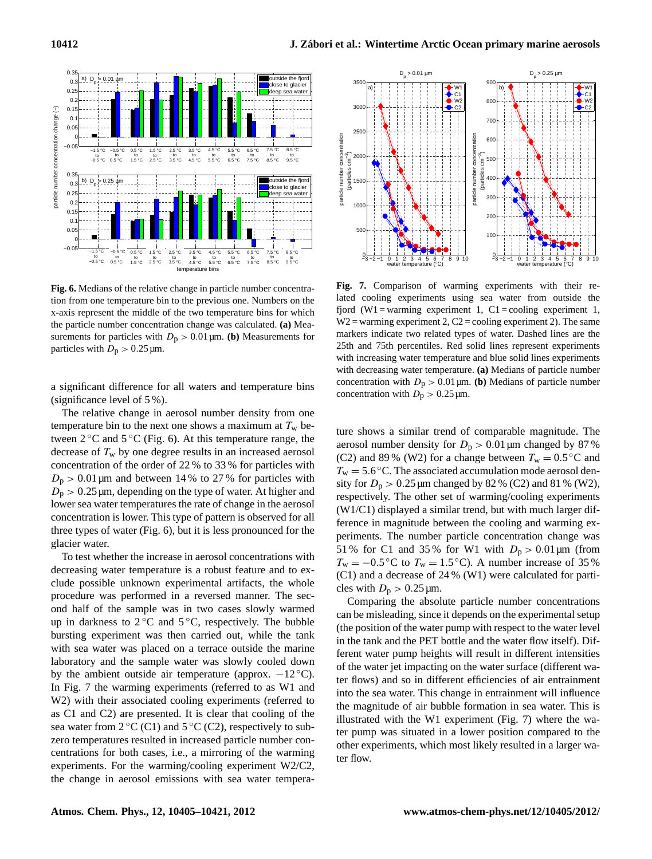

<span id="page-7-0"></span>**Fig. 6.** Medians of the relative change in particle number concentration from one temperature bin to the previous one. Numbers on the x-axis represent the middle of the two temperature bins for which the particle number concentration change was calculated. **(a)** Measurements for particles with  $D_p > 0.01 \,\mu\text{m}$ . **(b)** Measurements for particles with  $D_p > 0.25 \,\text{\mu m}$ .

a significant difference for all waters and temperature bins (significance level of 5 %).

The relative change in aerosol number density from one temperature bin to the next one shows a maximum at  $T_w$  between  $2^{\circ}$ C and  $5^{\circ}$ C (Fig. [6\)](#page-7-0). At this temperature range, the decrease of  $T_w$  by one degree results in an increased aerosol concentration of the order of 22 % to 33 % for particles with  $D_p > 0.01 \,\text{\mu m}$  and between 14 % to 27 % for particles with  $D_p > 0.25 \,\mu\text{m}$ , depending on the type of water. At higher and lower sea water temperatures the rate of change in the aerosol concentration is lower. This type of pattern is observed for all three types of water (Fig. [6\)](#page-7-0), but it is less pronounced for the glacier water.

To test whether the increase in aerosol concentrations with decreasing water temperature is a robust feature and to exclude possible unknown experimental artifacts, the whole procedure was performed in a reversed manner. The second half of the sample was in two cases slowly warmed up in darkness to  $2^{\circ}$ C and  $5^{\circ}$ C, respectively. The bubble bursting experiment was then carried out, while the tank with sea water was placed on a terrace outside the marine laboratory and the sample water was slowly cooled down by the ambient outside air temperature (approx.  $-12°C$ ). In Fig. [7](#page-7-1) the warming experiments (referred to as W1 and W2) with their associated cooling experiments (referred to as C1 and C2) are presented. It is clear that cooling of the sea water from  $2 \,^{\circ}\text{C}$  (C1) and  $5 \,^{\circ}\text{C}$  (C2), respectively to subzero temperatures resulted in increased particle number concentrations for both cases, i.e., a mirroring of the warming experiments. For the warming/cooling experiment W2/C2, the change in aerosol emissions with sea water tempera-



<span id="page-7-1"></span>**Fig. 7.** Comparison of warming experiments with their related cooling experiments using sea water from outside the fjord (W1 = warming experiment 1, C1 = cooling experiment 1,  $W2 =$  warming experiment 2,  $C2 =$  cooling experiment 2). The same markers indicate two related types of water. Dashed lines are the 25th and 75th percentiles. Red solid lines represent experiments with increasing water temperature and blue solid lines experiments with decreasing water temperature. **(a)** Medians of particle number concentration with  $D_p > 0.01 \,\text{\mu m}$ . **(b)** Medians of particle number concentration with  $D_p > 0.25 \,\text{\mu m}$ .

ture shows a similar trend of comparable magnitude. The aerosol number density for  $D_p > 0.01 \,\mu\text{m}$  changed by 87% (C2) and 89% (W2) for a change between  $T_w = 0.5^{\circ}$ C and  $T_{\rm w}$  = 5.6 °C. The associated accumulation mode aerosol density for  $D_p > 0.25 \,\text{\mu m}$  changed by 82 % (C2) and 81 % (W2), respectively. The other set of warming/cooling experiments (W1/C1) displayed a similar trend, but with much larger difference in magnitude between the cooling and warming experiments. The number particle concentration change was 51 % for C1 and 35 % for W1 with  $D_p > 0.01 \,\text{\mu m}$  (from  $T_{\rm w} = -0.5$  °C to  $T_{\rm w} = 1.5$  °C). A number increase of 35 % (C1) and a decrease of 24 % (W1) were calculated for particles with  $D_p > 0.25 \,\text{\mu m}$ .

Comparing the absolute particle number concentrations can be misleading, since it depends on the experimental setup (the position of the water pump with respect to the water level in the tank and the PET bottle and the water flow itself). Different water pump heights will result in different intensities of the water jet impacting on the water surface (different water flows) and so in different efficiencies of air entrainment into the sea water. This change in entrainment will influence the magnitude of air bubble formation in sea water. This is illustrated with the W1 experiment (Fig. [7\)](#page-7-1) where the water pump was situated in a lower position compared to the other experiments, which most likely resulted in a larger water flow.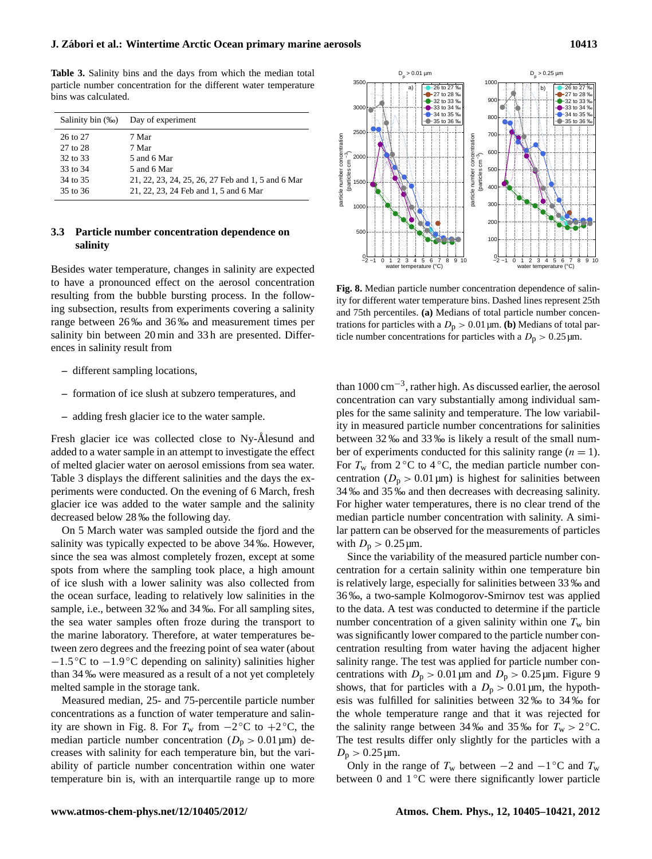**J. Zabori et al.: Wintertime Arctic Ocean primary marine aerosols 10413 ´**

<span id="page-8-0"></span>**Table 3.** Salinity bins and the days from which the median total particle number concentration for the different water temperature bins was calculated.

|          | Salinity bin (‰) Day of experiment                |
|----------|---------------------------------------------------|
| 26 to 27 | 7 Mar                                             |
| 27 to 28 | 7 Mar                                             |
| 32 to 33 | 5 and 6 Mar                                       |
| 33 to 34 | 5 and 6 Mar                                       |
| 34 to 35 | 21, 22, 23, 24, 25, 26, 27 Feb and 1, 5 and 6 Mar |
| 35 to 36 | 21, 22, 23, 24 Feb and 1, 5 and 6 Mar             |

## **3.3 Particle number concentration dependence on salinity**

Besides water temperature, changes in salinity are expected to have a pronounced effect on the aerosol concentration resulting from the bubble bursting process. In the following subsection, results from experiments covering a salinity range between 26 ‰ and 36 ‰ and measurement times per salinity bin between 20 min and 33 h are presented. Differences in salinity result from

- **–** different sampling locations,
- **–** formation of ice slush at subzero temperatures, and
- **–** adding fresh glacier ice to the water sample.

Fresh glacier ice was collected close to Ny-Ålesund and added to a water sample in an attempt to investigate the effect of melted glacier water on aerosol emissions from sea water. Table [3](#page-8-0) displays the different salinities and the days the experiments were conducted. On the evening of 6 March, fresh glacier ice was added to the water sample and the salinity decreased below 28 ‰ the following day.

On 5 March water was sampled outside the fjord and the salinity was typically expected to be above 34 ‰. However, since the sea was almost completely frozen, except at some spots from where the sampling took place, a high amount of ice slush with a lower salinity was also collected from the ocean surface, leading to relatively low salinities in the sample, i.e., between 32 ‰ and 34 ‰. For all sampling sites, the sea water samples often froze during the transport to the marine laboratory. Therefore, at water temperatures between zero degrees and the freezing point of sea water (about −1.5 ◦C to −1.9 ◦C depending on salinity) salinities higher than 34 ‰ were measured as a result of a not yet completely melted sample in the storage tank.

Measured median, 25- and 75-percentile particle number concentrations as a function of water temperature and salin-ity are shown in Fig. [8.](#page-8-1) For  $T_w$  from  $-2^{\circ}$ C to  $+2^{\circ}$ C, the median particle number concentration  $(D_p > 0.01 \,\text{\mu m})$  decreases with salinity for each temperature bin, but the variability of particle number concentration within one water temperature bin is, with an interquartile range up to more



<span id="page-8-1"></span>**Fig. 8.** Median particle number concentration dependence of salinity for different water temperature bins. Dashed lines represent 25th and 75th percentiles. **(a)** Medians of total particle number concentrations for particles with a  $D_p > 0.01 \,\text{\mu m}$ . **(b)** Medians of total particle number concentrations for particles with a  $D_p > 0.25 \,\text{\mu m}$ .

than 1000 cm−<sup>3</sup> , rather high. As discussed earlier, the aerosol concentration can vary substantially among individual samples for the same salinity and temperature. The low variability in measured particle number concentrations for salinities between 32 ‰ and 33 ‰ is likely a result of the small number of experiments conducted for this salinity range  $(n = 1)$ . For  $T_w$  from 2 °C to 4 °C, the median particle number concentration ( $D_p > 0.01 \,\text{\mu m}$ ) is highest for salinities between 34 ‰ and 35 ‰ and then decreases with decreasing salinity. For higher water temperatures, there is no clear trend of the median particle number concentration with salinity. A similar pattern can be observed for the measurements of particles with  $D_p > 0.25 \,\text{\mu m}$ .

Since the variability of the measured particle number concentration for a certain salinity within one temperature bin is relatively large, especially for salinities between 33 ‰ and 36 ‰, a two-sample Kolmogorov-Smirnov test was applied to the data. A test was conducted to determine if the particle number concentration of a given salinity within one  $T_w$  bin was significantly lower compared to the particle number concentration resulting from water having the adjacent higher salinity range. The test was applied for particle number concentrations with  $D_p > 0.01 \,\text{\mu m}$  and  $D_p > 0.25 \,\text{\mu m}$ . Figure [9](#page-9-0) shows, that for particles with a  $D_p > 0.01 \,\mu\text{m}$ , the hypothesis was fulfilled for salinities between 32 ‰ to 34 ‰ for the whole temperature range and that it was rejected for the salinity range between 34‰ and 35‰ for  $T_w > 2$  °C. The test results differ only slightly for the particles with a  $D_{\rm p} > 0.25 \,\rm \mu m$ .

Only in the range of  $T_w$  between  $-2$  and  $-1$ °C and  $T_w$ between 0 and  $1 \,^{\circ}\text{C}$  were there significantly lower particle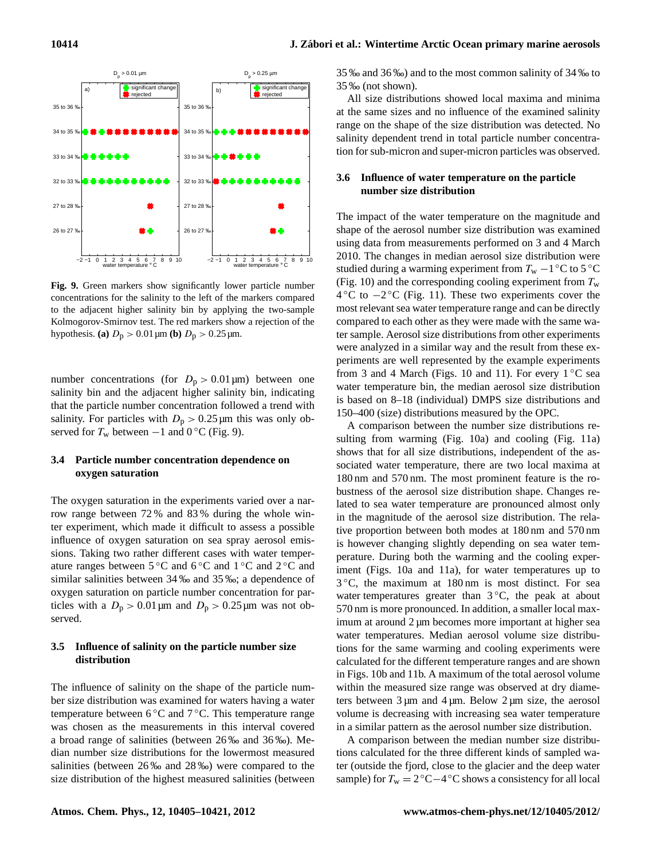

<span id="page-9-0"></span>**Fig. 9.** Green markers show significantly lower particle number concentrations for the salinity to the left of the markers compared to the adjacent higher salinity bin by applying the two-sample Kolmogorov-Smirnov test. The red markers show a rejection of the hypothesis. **(a)**  $D_p > 0.01 \,\text{\mu m}$  **(b)**  $D_p > 0.25 \,\text{\mu m}$ .

number concentrations (for  $D_p > 0.01 \,\text{\mu m}$ ) between one salinity bin and the adjacent higher salinity bin, indicating that the particle number concentration followed a trend with salinity. For particles with  $D_p > 0.25 \,\mu\text{m}$  this was only observed for  $T_w$  between  $-1$  and  $0 °C$  (Fig. [9\)](#page-9-0).

## **3.4 Particle number concentration dependence on oxygen saturation**

The oxygen saturation in the experiments varied over a narrow range between 72 % and 83 % during the whole winter experiment, which made it difficult to assess a possible influence of oxygen saturation on sea spray aerosol emissions. Taking two rather different cases with water temperature ranges between 5 ◦C and 6 ◦C and 1 ◦C and 2 ◦C and similar salinities between 34 ‰ and 35 ‰; a dependence of oxygen saturation on particle number concentration for particles with a  $D_p > 0.01 \,\text{\mu m}$  and  $D_p > 0.25 \,\text{\mu m}$  was not observed.

## **3.5 Influence of salinity on the particle number size distribution**

The influence of salinity on the shape of the particle number size distribution was examined for waters having a water temperature between  $6^{\circ}$ C and  $7^{\circ}$ C. This temperature range was chosen as the measurements in this interval covered a broad range of salinities (between 26 ‰ and 36 ‰). Median number size distributions for the lowermost measured salinities (between 26 ‰ and 28 ‰) were compared to the size distribution of the highest measured salinities (between 35 ‰ and 36 ‰) and to the most common salinity of 34 ‰ to 35 ‰ (not shown).

All size distributions showed local maxima and minima at the same sizes and no influence of the examined salinity range on the shape of the size distribution was detected. No salinity dependent trend in total particle number concentration for sub-micron and super-micron particles was observed.

## **3.6 Influence of water temperature on the particle number size distribution**

The impact of the water temperature on the magnitude and shape of the aerosol number size distribution was examined using data from measurements performed on 3 and 4 March 2010. The changes in median aerosol size distribution were studied during a warming experiment from  $T_w - 1$  °C to 5 °C (Fig. [10\)](#page-10-0) and the corresponding cooling experiment from  $T_w$ 4 ◦C to −2 ◦C (Fig. [11\)](#page-10-1). These two experiments cover the most relevant sea water temperature range and can be directly compared to each other as they were made with the same water sample. Aerosol size distributions from other experiments were analyzed in a similar way and the result from these experiments are well represented by the example experiments from 3 and 4 March (Figs. [10](#page-10-0) and [11\)](#page-10-1). For every  $1 \degree$ C sea water temperature bin, the median aerosol size distribution is based on 8–18 (individual) DMPS size distributions and 150–400 (size) distributions measured by the OPC.

A comparison between the number size distributions resulting from warming (Fig. [10a](#page-10-0)) and cooling (Fig. [11a](#page-10-1)) shows that for all size distributions, independent of the associated water temperature, there are two local maxima at 180 nm and 570 nm. The most prominent feature is the robustness of the aerosol size distribution shape. Changes related to sea water temperature are pronounced almost only in the magnitude of the aerosol size distribution. The relative proportion between both modes at 180 nm and 570 nm is however changing slightly depending on sea water temperature. During both the warming and the cooling experiment (Figs. [10a](#page-10-0) and [11a](#page-10-1)), for water temperatures up to 3 ◦C, the maximum at 180 nm is most distinct. For sea water temperatures greater than  $3°C$ , the peak at about 570 nm is more pronounced. In addition, a smaller local maximum at around 2 µm becomes more important at higher sea water temperatures. Median aerosol volume size distributions for the same warming and cooling experiments were calculated for the different temperature ranges and are shown in Figs. [10b](#page-10-0) and [11b](#page-10-1). A maximum of the total aerosol volume within the measured size range was observed at dry diameters between  $3 \mu m$  and  $4 \mu m$ . Below  $2 \mu m$  size, the aerosol volume is decreasing with increasing sea water temperature in a similar pattern as the aerosol number size distribution.

A comparison between the median number size distributions calculated for the three different kinds of sampled water (outside the fjord, close to the glacier and the deep water sample) for  $T_w = 2^{\circ}C - 4^{\circ}C$  shows a consistency for all local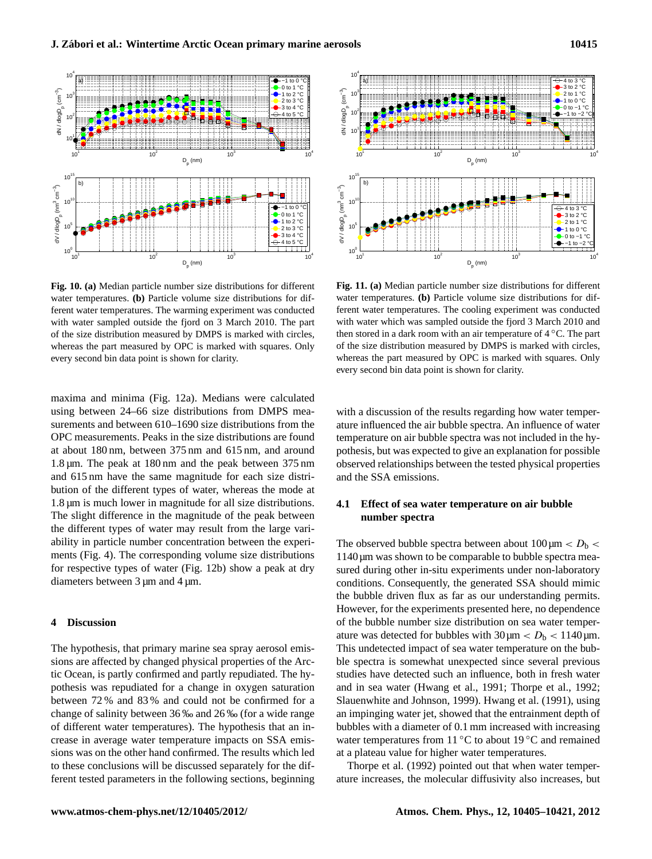

<span id="page-10-0"></span>**Fig. 10. (a)** Median particle number size distributions for different water temperatures. **(b)** Particle volume size distributions for different water temperatures. The warming experiment was conducted with water sampled outside the fjord on 3 March 2010. The part of the size distribution measured by DMPS is marked with circles, whereas the part measured by OPC is marked with squares. Only every second bin data point is shown for clarity.

maxima and minima (Fig. [12a](#page-11-0)). Medians were calculated using between 24–66 size distributions from DMPS measurements and between 610–1690 size distributions from the OPC measurements. Peaks in the size distributions are found at about 180 nm, between 375 nm and 615 nm, and around 1.8 µm. The peak at 180 nm and the peak between 375 nm and 615 nm have the same magnitude for each size distribution of the different types of water, whereas the mode at 1.8 µm is much lower in magnitude for all size distributions. The slight difference in the magnitude of the peak between the different types of water may result from the large variability in particle number concentration between the experiments (Fig. [4\)](#page-6-0). The corresponding volume size distributions for respective types of water (Fig. [12b](#page-11-0)) show a peak at dry diameters between 3 µm and 4 µm.

#### **4 Discussion**

The hypothesis, that primary marine sea spray aerosol emissions are affected by changed physical properties of the Arctic Ocean, is partly confirmed and partly repudiated. The hypothesis was repudiated for a change in oxygen saturation between 72 % and 83 % and could not be confirmed for a change of salinity between 36 ‰ and 26 ‰ (for a wide range of different water temperatures). The hypothesis that an increase in average water temperature impacts on SSA emissions was on the other hand confirmed. The results which led to these conclusions will be discussed separately for the different tested parameters in the following sections, beginning



<span id="page-10-1"></span>**Fig. 11. (a)** Median particle number size distributions for different water temperatures. **(b)** Particle volume size distributions for different water temperatures. The cooling experiment was conducted with water which was sampled outside the fjord 3 March 2010 and then stored in a dark room with an air temperature of  $4^{\circ}$ C. The part of the size distribution measured by DMPS is marked with circles, whereas the part measured by OPC is marked with squares. Only every second bin data point is shown for clarity.

with a discussion of the results regarding how water temperature influenced the air bubble spectra. An influence of water temperature on air bubble spectra was not included in the hypothesis, but was expected to give an explanation for possible observed relationships between the tested physical properties and the SSA emissions.

# **4.1 Effect of sea water temperature on air bubble number spectra**

The observed bubble spectra between about  $100 \mu m < D<sub>b</sub>$ 1140µm was shown to be comparable to bubble spectra measured during other in-situ experiments under non-laboratory conditions. Consequently, the generated SSA should mimic the bubble driven flux as far as our understanding permits. However, for the experiments presented here, no dependence of the bubble number size distribution on sea water temperature was detected for bubbles with  $30 \mu m < D<sub>b</sub> < 1140 \mu m$ . This undetected impact of sea water temperature on the bubble spectra is somewhat unexpected since several previous studies have detected such an influence, both in fresh water and in sea water [\(Hwang et al.,](#page-14-18) [1991;](#page-14-18) [Thorpe et al.,](#page-16-9) [1992;](#page-16-9) [Slauenwhite and Johnson,](#page-15-4) [1999\)](#page-15-4). [Hwang et al.](#page-14-18) [\(1991\)](#page-14-18), using an impinging water jet, showed that the entrainment depth of bubbles with a diameter of 0.1 mm increased with increasing water temperatures from 11 °C to about 19 °C and remained at a plateau value for higher water temperatures.

[Thorpe et al.](#page-16-9) [\(1992\)](#page-16-9) pointed out that when water temperature increases, the molecular diffusivity also increases, but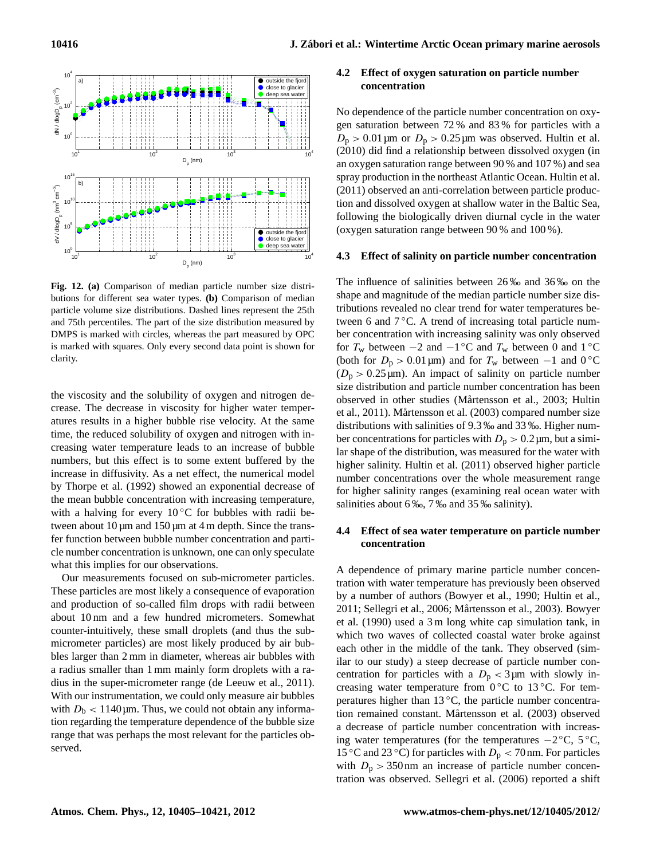

<span id="page-11-0"></span>**Fig. 12. (a)** Comparison of median particle number size distributions for different sea water types. **(b)** Comparison of median particle volume size distributions. Dashed lines represent the 25th and 75th percentiles. The part of the size distribution measured by DMPS is marked with circles, whereas the part measured by OPC is marked with squares. Only every second data point is shown for clarity.

the viscosity and the solubility of oxygen and nitrogen decrease. The decrease in viscosity for higher water temperatures results in a higher bubble rise velocity. At the same time, the reduced solubility of oxygen and nitrogen with increasing water temperature leads to an increase of bubble numbers, but this effect is to some extent buffered by the increase in diffusivity. As a net effect, the numerical model by [Thorpe et al.](#page-16-9) [\(1992\)](#page-16-9) showed an exponential decrease of the mean bubble concentration with increasing temperature, with a halving for every  $10^{\circ}$ C for bubbles with radii between about  $10 \mu m$  and  $150 \mu m$  at 4 m depth. Since the transfer function between bubble number concentration and particle number concentration is unknown, one can only speculate what this implies for our observations.

Our measurements focused on sub-micrometer particles. These particles are most likely a consequence of evaporation and production of so-called film drops with radii between about 10 nm and a few hundred micrometers. Somewhat counter-intuitively, these small droplets (and thus the submicrometer particles) are most likely produced by air bubbles larger than 2 mm in diameter, whereas air bubbles with a radius smaller than 1 mm mainly form droplets with a radius in the super-micrometer range [\(de Leeuw et al.,](#page-14-0) [2011\)](#page-14-0). With our instrumentation, we could only measure air bubbles with  $D<sub>b</sub> < 1140 \mu$ m. Thus, we could not obtain any information regarding the temperature dependence of the bubble size range that was perhaps the most relevant for the particles observed.

## **4.2 Effect of oxygen saturation on particle number concentration**

No dependence of the particle number concentration on oxygen saturation between 72 % and 83 % for particles with a  $D_p > 0.01 \,\text{\mu m}$  or  $D_p > 0.25 \,\text{\mu m}$  was observed. [Hultin et al.](#page-14-4) [\(2010\)](#page-14-4) did find a relationship between dissolved oxygen (in an oxygen saturation range between 90 % and 107 %) and sea spray production in the northeast Atlantic Ocean. [Hultin et al.](#page-14-3) [\(2011\)](#page-14-3) observed an anti-correlation between particle production and dissolved oxygen at shallow water in the Baltic Sea, following the biologically driven diurnal cycle in the water (oxygen saturation range between 90 % and 100 %).

#### **4.3 Effect of salinity on particle number concentration**

The influence of salinities between 26 ‰ and 36 ‰ on the shape and magnitude of the median particle number size distributions revealed no clear trend for water temperatures between 6 and 7 °C. A trend of increasing total particle number concentration with increasing salinity was only observed for  $T_w$  between  $-2$  and  $-1$ °C and  $T_w$  between 0 and  $1$ °C (both for  $D_p > 0.01 \,\text{\mu m}$ ) and for  $T_w$  between  $-1$  and  $0^{\circ}$ C  $(D_p > 0.25 \,\mu\text{m})$ . An impact of salinity on particle number size distribution and particle number concentration has been observed in other studies (Mårtensson et al., [2003;](#page-15-8) [Hultin](#page-14-3) [et al.,](#page-14-3) [2011\)](#page-14-3). Mårtensson et al. [\(2003\)](#page-15-8) compared number size distributions with salinities of 9.3 ‰ and 33 ‰. Higher number concentrations for particles with  $D_p > 0.2 \,\mu\text{m}$ , but a similar shape of the distribution, was measured for the water with higher salinity. [Hultin et al.](#page-14-3) [\(2011\)](#page-14-3) observed higher particle number concentrations over the whole measurement range for higher salinity ranges (examining real ocean water with salinities about 6 ‰, 7 ‰ and 35 ‰ salinity).

## **4.4 Effect of sea water temperature on particle number concentration**

A dependence of primary marine particle number concentration with water temperature has previously been observed by a number of authors [\(Bowyer et al.,](#page-14-19) [1990;](#page-14-19) [Hultin et al.,](#page-14-3) [2011;](#page-14-3) [Sellegri et al.,](#page-15-23) [2006;](#page-15-23) Mårtensson et al., [2003\)](#page-15-8). [Bowyer](#page-14-19) [et al.](#page-14-19) [\(1990\)](#page-14-19) used a 3 m long white cap simulation tank, in which two waves of collected coastal water broke against each other in the middle of the tank. They observed (similar to our study) a steep decrease of particle number concentration for particles with a  $D_p < 3 \mu m$  with slowly increasing water temperature from  $0\,^{\circ}\text{C}$  to  $13\,^{\circ}\text{C}$ . For temperatures higher than  $13 \degree C$ , the particle number concentra-tion remained constant. Mårtensson et al. [\(2003\)](#page-15-8) observed a decrease of particle number concentration with increasing water temperatures (for the temperatures  $-2^{\circ}$ C, 5 $^{\circ}$ C, 15 °C and 23 °C) for particles with  $D_p < 70$  nm. For particles with  $D_p > 350$  nm an increase of particle number concentration was observed. [Sellegri et al.](#page-15-23) [\(2006\)](#page-15-23) reported a shift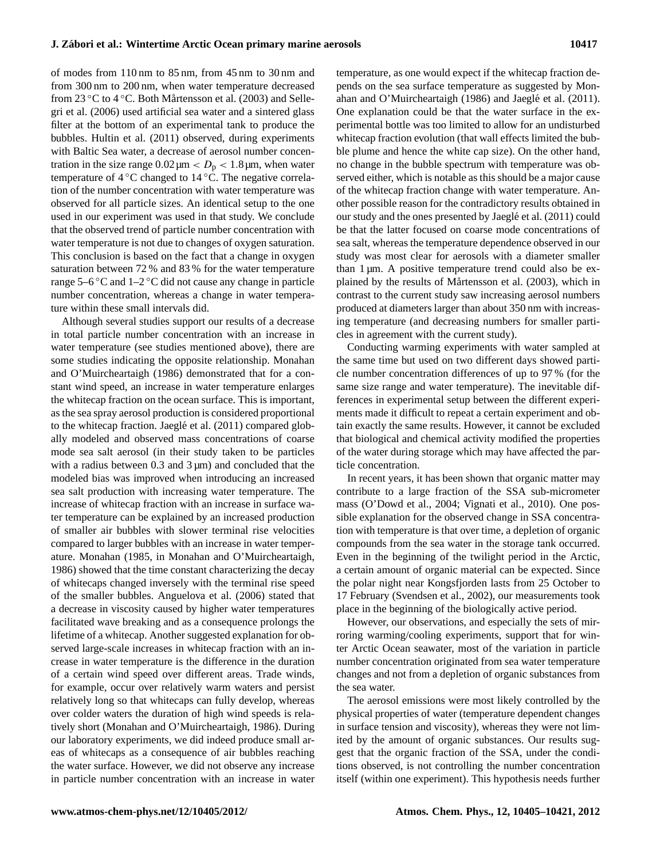of modes from 110 nm to 85 nm, from 45 nm to 30 nm and from 300 nm to 200 nm, when water temperature decreased from 23  $\rm{°C}$  to 4  $\rm{°C}$ . Both Mårtensson et al. [\(2003\)](#page-15-8) and [Selle](#page-15-23)[gri et al.](#page-15-23) [\(2006\)](#page-15-23) used artificial sea water and a sintered glass filter at the bottom of an experimental tank to produce the bubbles. [Hultin et al.](#page-14-3) [\(2011\)](#page-14-3) observed, during experiments with Baltic Sea water, a decrease of aerosol number concentration in the size range  $0.02 \mu m < D_p < 1.8 \mu m$ , when water temperature of 4 ◦C changed to 14 ◦C. The negative correlation of the number concentration with water temperature was observed for all particle sizes. An identical setup to the one used in our experiment was used in that study. We conclude that the observed trend of particle number concentration with water temperature is not due to changes of oxygen saturation. This conclusion is based on the fact that a change in oxygen saturation between 72 % and 83 % for the water temperature range  $5-6$  °C and  $1-2$  °C did not cause any change in particle number concentration, whereas a change in water temperature within these small intervals did.

Although several studies support our results of a decrease in total particle number concentration with an increase in water temperature (see studies mentioned above), there are some studies indicating the opposite relationship. [Monahan](#page-15-24) [and O'Muircheartaigh](#page-15-24) [\(1986\)](#page-15-24) demonstrated that for a constant wind speed, an increase in water temperature enlarges the whitecap fraction on the ocean surface. This is important, as the sea spray aerosol production is considered proportional to the whitecap fraction. Jaeglé et al.  $(2011)$  compared globally modeled and observed mass concentrations of coarse mode sea salt aerosol (in their study taken to be particles with a radius between 0.3 and 3  $\mu$ m) and concluded that the modeled bias was improved when introducing an increased sea salt production with increasing water temperature. The increase of whitecap fraction with an increase in surface water temperature can be explained by an increased production of smaller air bubbles with slower terminal rise velocities compared to larger bubbles with an increase in water temperature. [Monahan](#page-15-25) [\(1985,](#page-15-25) in [Monahan and O'Muircheartaigh,](#page-15-24) [1986\)](#page-15-24) showed that the time constant characterizing the decay of whitecaps changed inversely with the terminal rise speed of the smaller bubbles. [Anguelova et al.](#page-14-21) [\(2006\)](#page-14-21) stated that a decrease in viscosity caused by higher water temperatures facilitated wave breaking and as a consequence prolongs the lifetime of a whitecap. Another suggested explanation for observed large-scale increases in whitecap fraction with an increase in water temperature is the difference in the duration of a certain wind speed over different areas. Trade winds, for example, occur over relatively warm waters and persist relatively long so that whitecaps can fully develop, whereas over colder waters the duration of high wind speeds is relatively short [\(Monahan and O'Muircheartaigh,](#page-15-24) [1986\)](#page-15-24). During our laboratory experiments, we did indeed produce small areas of whitecaps as a consequence of air bubbles reaching the water surface. However, we did not observe any increase in particle number concentration with an increase in water temperature, as one would expect if the whitecap fraction depends on the sea surface temperature as suggested by [Mon](#page-15-24)[ahan and O'Muircheartaigh](#page-15-24) [\(1986\)](#page-15-24) and Jaeglé et al. [\(2011\)](#page-14-20). One explanation could be that the water surface in the experimental bottle was too limited to allow for an undisturbed whitecap fraction evolution (that wall effects limited the bubble plume and hence the white cap size). On the other hand, no change in the bubble spectrum with temperature was observed either, which is notable as this should be a major cause of the whitecap fraction change with water temperature. Another possible reason for the contradictory results obtained in our study and the ones presented by Jaeglé et al.  $(2011)$  could be that the latter focused on coarse mode concentrations of sea salt, whereas the temperature dependence observed in our study was most clear for aerosols with a diameter smaller than 1 µm. A positive temperature trend could also be ex-plained by the results of Mårtensson et al. [\(2003\)](#page-15-8), which in contrast to the current study saw increasing aerosol numbers produced at diameters larger than about 350 nm with increasing temperature (and decreasing numbers for smaller particles in agreement with the current study).

Conducting warming experiments with water sampled at the same time but used on two different days showed particle number concentration differences of up to 97 % (for the same size range and water temperature). The inevitable differences in experimental setup between the different experiments made it difficult to repeat a certain experiment and obtain exactly the same results. However, it cannot be excluded that biological and chemical activity modified the properties of the water during storage which may have affected the particle concentration.

In recent years, it has been shown that organic matter may contribute to a large fraction of the SSA sub-micrometer mass [\(O'Dowd et al.,](#page-15-1) [2004;](#page-15-1) [Vignati et al.,](#page-16-1) [2010\)](#page-16-1). One possible explanation for the observed change in SSA concentration with temperature is that over time, a depletion of organic compounds from the sea water in the storage tank occurred. Even in the beginning of the twilight period in the Arctic, a certain amount of organic material can be expected. Since the polar night near Kongsfjorden lasts from 25 October to 17 February [\(Svendsen et al.,](#page-15-19) [2002\)](#page-15-19), our measurements took place in the beginning of the biologically active period.

However, our observations, and especially the sets of mirroring warming/cooling experiments, support that for winter Arctic Ocean seawater, most of the variation in particle number concentration originated from sea water temperature changes and not from a depletion of organic substances from the sea water.

The aerosol emissions were most likely controlled by the physical properties of water (temperature dependent changes in surface tension and viscosity), whereas they were not limited by the amount of organic substances. Our results suggest that the organic fraction of the SSA, under the conditions observed, is not controlling the number concentration itself (within one experiment). This hypothesis needs further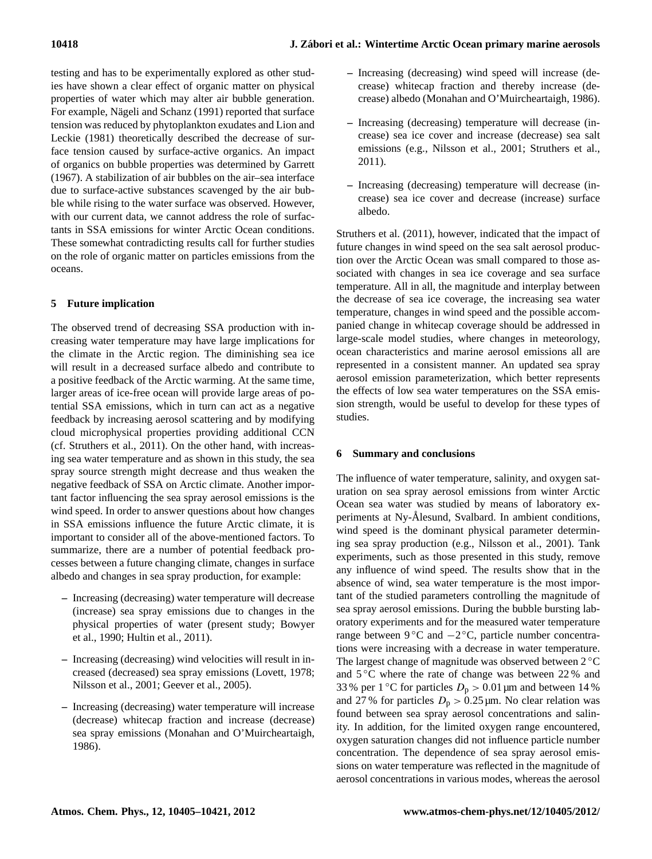testing and has to be experimentally explored as other studies have shown a clear effect of organic matter on physical properties of water which may alter air bubble generation. For example, Nägeli and Schanz [\(1991\)](#page-15-26) reported that surface tension was reduced by phytoplankton exudates and [Lion and](#page-15-27) [Leckie](#page-15-27) [\(1981\)](#page-15-27) theoretically described the decrease of surface tension caused by surface-active organics. An impact of organics on bubble properties was determined by [Garrett](#page-14-22) [\(1967\)](#page-14-22). A stabilization of air bubbles on the air–sea interface due to surface-active substances scavenged by the air bubble while rising to the water surface was observed. However, with our current data, we cannot address the role of surfactants in SSA emissions for winter Arctic Ocean conditions. These somewhat contradicting results call for further studies on the role of organic matter on particles emissions from the oceans.

# **5 Future implication**

The observed trend of decreasing SSA production with increasing water temperature may have large implications for the climate in the Arctic region. The diminishing sea ice will result in a decreased surface albedo and contribute to a positive feedback of the Arctic warming. At the same time, larger areas of ice-free ocean will provide large areas of potential SSA emissions, which in turn can act as a negative feedback by increasing aerosol scattering and by modifying cloud microphysical properties providing additional CCN (cf. [Struthers et al.,](#page-15-28) [2011\)](#page-15-28). On the other hand, with increasing sea water temperature and as shown in this study, the sea spray source strength might decrease and thus weaken the negative feedback of SSA on Arctic climate. Another important factor influencing the sea spray aerosol emissions is the wind speed. In order to answer questions about how changes in SSA emissions influence the future Arctic climate, it is important to consider all of the above-mentioned factors. To summarize, there are a number of potential feedback processes between a future changing climate, changes in surface albedo and changes in sea spray production, for example:

- **–** Increasing (decreasing) water temperature will decrease (increase) sea spray emissions due to changes in the physical properties of water (present study; [Bowyer](#page-14-19) [et al.,](#page-14-19) [1990;](#page-14-19) [Hultin et al.,](#page-14-3) [2011\)](#page-14-3).
- **–** Increasing (decreasing) wind velocities will result in increased (decreased) sea spray emissions [\(Lovett,](#page-15-29) [1978;](#page-15-29) [Nilsson et al.,](#page-15-7) [2001;](#page-15-7) [Geever et al.,](#page-14-23) [2005\)](#page-14-23).
- **–** Increasing (decreasing) water temperature will increase (decrease) whitecap fraction and increase (decrease) sea spray emissions [\(Monahan and O'Muircheartaigh,](#page-15-24) [1986\)](#page-15-24).
- **–** Increasing (decreasing) wind speed will increase (decrease) whitecap fraction and thereby increase (decrease) albedo [\(Monahan and O'Muircheartaigh,](#page-15-24) [1986\)](#page-15-24).
- **–** Increasing (decreasing) temperature will decrease (increase) sea ice cover and increase (decrease) sea salt emissions (e.g., [Nilsson et al.,](#page-15-7) [2001;](#page-15-7) [Struthers et al.,](#page-15-28) [2011\)](#page-15-28).
- **–** Increasing (decreasing) temperature will decrease (increase) sea ice cover and decrease (increase) surface albedo.

[Struthers et al.](#page-15-28) [\(2011\)](#page-15-28), however, indicated that the impact of future changes in wind speed on the sea salt aerosol production over the Arctic Ocean was small compared to those associated with changes in sea ice coverage and sea surface temperature. All in all, the magnitude and interplay between the decrease of sea ice coverage, the increasing sea water temperature, changes in wind speed and the possible accompanied change in whitecap coverage should be addressed in large-scale model studies, where changes in meteorology, ocean characteristics and marine aerosol emissions all are represented in a consistent manner. An updated sea spray aerosol emission parameterization, which better represents the effects of low sea water temperatures on the SSA emission strength, would be useful to develop for these types of studies.

#### **6 Summary and conclusions**

The influence of water temperature, salinity, and oxygen saturation on sea spray aerosol emissions from winter Arctic Ocean sea water was studied by means of laboratory experiments at Ny-Ålesund, Svalbard. In ambient conditions, wind speed is the dominant physical parameter determining sea spray production (e.g., Nilsson et al., 2001). Tank experiments, such as those presented in this study, remove any influence of wind speed. The results show that in the absence of wind, sea water temperature is the most important of the studied parameters controlling the magnitude of sea spray aerosol emissions. During the bubble bursting laboratory experiments and for the measured water temperature range between  $9^{\circ}$ C and  $-2^{\circ}$ C, particle number concentrations were increasing with a decrease in water temperature. The largest change of magnitude was observed between  $2^{\circ}C$ and  $5^{\circ}$ C where the rate of change was between 22 % and 33 % per 1 °C for particles  $D_p > 0.01 \,\mu\text{m}$  and between 14 % and 27% for particles  $D_p > 0.25 \mu m$ . No clear relation was found between sea spray aerosol concentrations and salinity. In addition, for the limited oxygen range encountered, oxygen saturation changes did not influence particle number concentration. The dependence of sea spray aerosol emissions on water temperature was reflected in the magnitude of aerosol concentrations in various modes, whereas the aerosol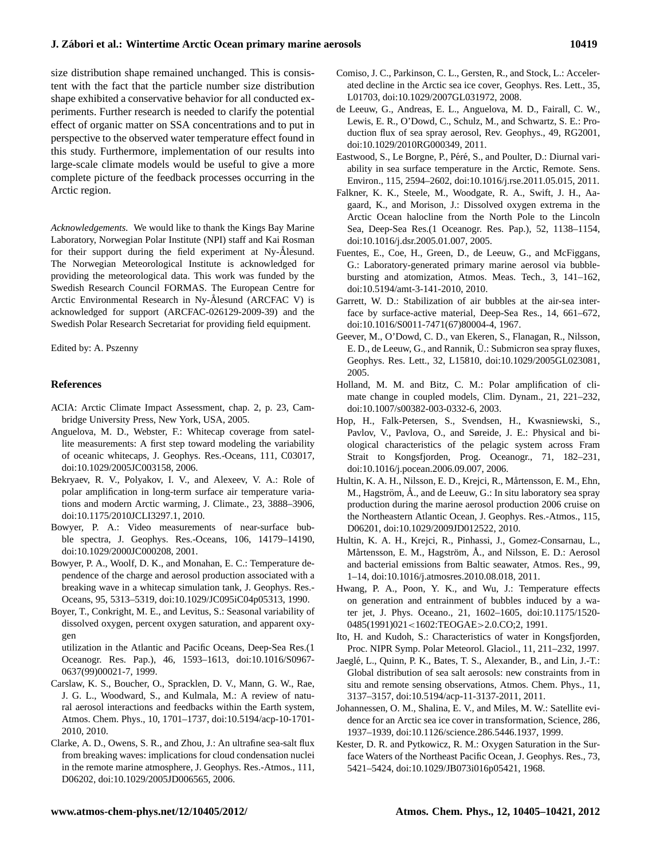## **J. Zabori et al.: Wintertime Arctic Ocean primary marine aerosols 10419 ´**

size distribution shape remained unchanged. This is consistent with the fact that the particle number size distribution shape exhibited a conservative behavior for all conducted experiments. Further research is needed to clarify the potential effect of organic matter on SSA concentrations and to put in perspective to the observed water temperature effect found in this study. Furthermore, implementation of our results into large-scale climate models would be useful to give a more complete picture of the feedback processes occurring in the Arctic region.

*Acknowledgements.* We would like to thank the Kings Bay Marine Laboratory, Norwegian Polar Institute (NPI) staff and Kai Rosman for their support during the field experiment at Ny-Ålesund. The Norwegian Meteorological Institute is acknowledged for providing the meteorological data. This work was funded by the Swedish Research Council FORMAS. The European Centre for Arctic Environmental Research in Ny-Ålesund (ARCFAC V) is acknowledged for support (ARCFAC-026129-2009-39) and the Swedish Polar Research Secretariat for providing field equipment.

Edited by: A. Pszenny

#### **References**

- <span id="page-14-5"></span>ACIA: Arctic Climate Impact Assessment, chap. 2, p. 23, Cambridge University Press, New York, USA, 2005.
- <span id="page-14-21"></span>Anguelova, M. D., Webster, F.: Whitecap coverage from satellite measurements: A first step toward modeling the variability of oceanic whitecaps, J. Geophys. Res.-Oceans, 111, C03017, doi[:10.1029/2005JC003158,](http://dx.doi.org/10.1029/2005JC003158) 2006.
- <span id="page-14-6"></span>Bekryaev, R. V., Polyakov, I. V., and Alexeev, V. A.: Role of polar amplification in long-term surface air temperature variations and modern Arctic warming, J. Climate., 23, 3888–3906, doi[:10.1175/2010JCLI3297.1,](http://dx.doi.org/10.1175/2010JCLI3297.1) 2010.
- <span id="page-14-17"></span>Bowyer, P. A.: Video measurements of near-surface bubble spectra, J. Geophys. Res.-Oceans, 106, 14179–14190, doi[:10.1029/2000JC000208,](http://dx.doi.org/10.1029/2000JC000208) 2001.
- <span id="page-14-19"></span>Bowyer, P. A., Woolf, D. K., and Monahan, E. C.: Temperature dependence of the charge and aerosol production associated with a breaking wave in a whitecap simulation tank, J. Geophys. Res.- Oceans, 95, 5313–5319, doi[:10.1029/JC095iC04p05313,](http://dx.doi.org/10.1029/JC095iC04p05313) 1990.
- <span id="page-14-10"></span>Boyer, T., Conkright, M. E., and Levitus, S.: Seasonal variability of dissolved oxygen, percent oxygen saturation, and apparent oxygen

utilization in the Atlantic and Pacific Oceans, Deep-Sea Res.(1 Oceanogr. Res. Pap.), 46, 1593–1613, doi[:10.1016/S0967-](http://dx.doi.org/10.1016/S0967-0637(99)00021-7) [0637\(99\)00021-7,](http://dx.doi.org/10.1016/S0967-0637(99)00021-7) 1999.

- <span id="page-14-2"></span>Carslaw, K. S., Boucher, O., Spracklen, D. V., Mann, G. W., Rae, J. G. L., Woodward, S., and Kulmala, M.: A review of natural aerosol interactions and feedbacks within the Earth system, Atmos. Chem. Phys., 10, 1701–1737, [doi:10.5194/acp-10-1701-](http://dx.doi.org/10.5194/acp-10-1701-2010) [2010,](http://dx.doi.org/10.5194/acp-10-1701-2010) 2010.
- <span id="page-14-1"></span>Clarke, A. D., Owens, S. R., and Zhou, J.: An ultrafine sea-salt flux from breaking waves: implications for cloud condensation nuclei in the remote marine atmosphere, J. Geophys. Res.-Atmos., 111, D06202, doi[:10.1029/2005JD006565,](http://dx.doi.org/10.1029/2005JD006565) 2006.
- <span id="page-14-8"></span>Comiso, J. C., Parkinson, C. L., Gersten, R., and Stock, L.: Accelerated decline in the Arctic sea ice cover, Geophys. Res. Lett., 35, L01703, doi[:10.1029/2007GL031972,](http://dx.doi.org/10.1029/2007GL031972) 2008.
- <span id="page-14-0"></span>de Leeuw, G., Andreas, E. L., Anguelova, M. D., Fairall, C. W., Lewis, E. R., O'Dowd, C., Schulz, M., and Schwartz, S. E.: Production flux of sea spray aerosol, Rev. Geophys., 49, RG2001, doi[:10.1029/2010RG000349,](http://dx.doi.org/10.1029/2010RG000349) 2011.
- <span id="page-14-16"></span>Eastwood, S., Le Borgne, P., Péré, S., and Poulter, D.: Diurnal variability in sea surface temperature in the Arctic, Remote. Sens. Environ., 115, 2594–2602, doi[:10.1016/j.rse.2011.05.015,](http://dx.doi.org/10.1016/j.rse.2011.05.015) 2011.
- <span id="page-14-12"></span>Falkner, K. K., Steele, M., Woodgate, R. A., Swift, J. H., Aagaard, K., and Morison, J.: Dissolved oxygen extrema in the Arctic Ocean halocline from the North Pole to the Lincoln Sea, Deep-Sea Res.(1 Oceanogr. Res. Pap.), 52, 1138–1154, doi[:10.1016/j.dsr.2005.01.007,](http://dx.doi.org/10.1016/j.dsr.2005.01.007) 2005.
- <span id="page-14-15"></span>Fuentes, E., Coe, H., Green, D., de Leeuw, G., and McFiggans, G.: Laboratory-generated primary marine aerosol via bubblebursting and atomization, Atmos. Meas. Tech., 3, 141–162, [doi:10.5194/amt-3-141-2010,](http://dx.doi.org/10.5194/amt-3-141-2010) 2010.
- <span id="page-14-22"></span>Garrett, W. D.: Stabilization of air bubbles at the air-sea interface by surface-active material, Deep-Sea Res., 14, 661–672, doi[:10.1016/S0011-7471\(67\)80004-4,](http://dx.doi.org/10.1016/S0011-7471(67)80004-4) 1967.
- <span id="page-14-23"></span>Geever, M., O'Dowd, C. D., van Ekeren, S., Flanagan, R., Nilsson, E. D., de Leeuw, G., and Rannik, Ü.: Submicron sea spray fluxes, Geophys. Res. Lett., 32, L15810, doi[:10.1029/2005GL023081,](http://dx.doi.org/10.1029/2005GL023081) 2005.
- <span id="page-14-7"></span>Holland, M. M. and Bitz, C. M.: Polar amplification of climate change in coupled models, Clim. Dynam., 21, 221–232, doi[:10.1007/s00382-003-0332-6,](http://dx.doi.org/10.1007/s00382-003-0332-6) 2003.
- <span id="page-14-13"></span>Hop, H., Falk-Petersen, S., Svendsen, H., Kwasniewski, S., Pavlov, V., Pavlova, O., and Søreide, J. E.: Physical and biological characteristics of the pelagic system across Fram Strait to Kongsfjorden, Prog. Oceanogr., 71, 182–231, doi[:10.1016/j.pocean.2006.09.007,](http://dx.doi.org/10.1016/j.pocean.2006.09.007) 2006.
- <span id="page-14-4"></span>Hultin, K. A. H., Nilsson, E. D., Krejci, R., Mårtensson, E. M., Ehn, M., Hagström,  $Å$ ., and de Leeuw, G.: In situ laboratory sea spray production during the marine aerosol production 2006 cruise on the Northeastern Atlantic Ocean, J. Geophys. Res.-Atmos., 115, D06201, doi[:10.1029/2009JD012522,](http://dx.doi.org/10.1029/2009JD012522) 2010.
- <span id="page-14-3"></span>Hultin, K. A. H., Krejci, R., Pinhassi, J., Gomez-Consarnau, L., Mårtensson, E. M., Hagström, Å., and Nilsson, E. D.: Aerosol and bacterial emissions from Baltic seawater, Atmos. Res., 99, 1–14, doi[:10.1016/j.atmosres.2010.08.018,](http://dx.doi.org/10.1016/j.atmosres.2010.08.018) 2011.
- <span id="page-14-18"></span>Hwang, P. A., Poon, Y. K., and Wu, J.: Temperature effects on generation and entrainment of bubbles induced by a water jet, J. Phys. Oceano., 21, 1602–1605, doi[:10.1175/1520-](http://dx.doi.org/10.1175/1520-0485(1991)021<1602:TEOGAE>2.0.CO;2) 0485(1991)021<[1602:TEOGAE](http://dx.doi.org/10.1175/1520-0485(1991)021<1602:TEOGAE>2.0.CO;2)>2.0.CO;2, 1991.
- <span id="page-14-14"></span>Ito, H. and Kudoh, S.: Characteristics of water in Kongsfjorden, Proc. NIPR Symp. Polar Meteorol. Glaciol., 11, 211–232, 1997.
- <span id="page-14-20"></span>Jaeglé, L., Quinn, P. K., Bates, T. S., Alexander, B., and Lin, J.-T.: Global distribution of sea salt aerosols: new constraints from in situ and remote sensing observations, Atmos. Chem. Phys., 11, 3137–3157, [doi:10.5194/acp-11-3137-2011,](http://dx.doi.org/10.5194/acp-11-3137-2011) 2011.
- <span id="page-14-9"></span>Johannessen, O. M., Shalina, E. V., and Miles, M. W.: Satellite evidence for an Arctic sea ice cover in transformation, Science, 286, 1937–1939, doi[:10.1126/science.286.5446.1937,](http://dx.doi.org/10.1126/science.286.5446.1937) 1999.
- <span id="page-14-11"></span>Kester, D. R. and Pytkowicz, R. M.: Oxygen Saturation in the Surface Waters of the Northeast Pacific Ocean, J. Geophys. Res., 73, 5421–5424, doi[:10.1029/JB073i016p05421,](http://dx.doi.org/10.1029/JB073i016p05421) 1968.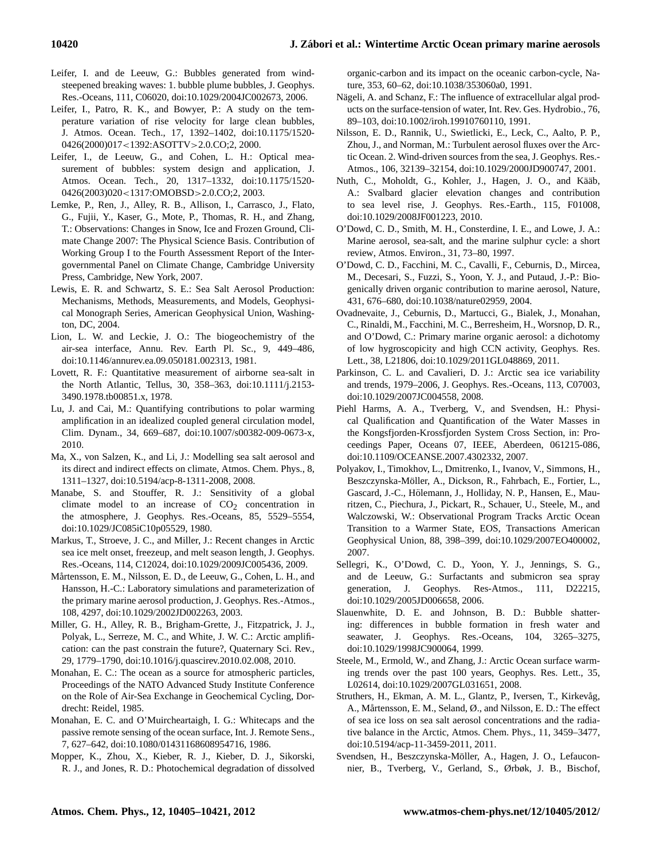- <span id="page-15-22"></span>Leifer, I. and de Leeuw, G.: Bubbles generated from windsteepened breaking waves: 1. bubble plume bubbles, J. Geophys. Res.-Oceans, 111, C06020, doi[:10.1029/2004JC002673,](http://dx.doi.org/10.1029/2004JC002673) 2006.
- <span id="page-15-5"></span>Leifer, I., Patro, R. K., and Bowyer, P.: A study on the temperature variation of rise velocity for large clean bubbles, J. Atmos. Ocean. Tech., 17, 1392–1402, doi[:10.1175/1520-](http://dx.doi.org/10.1175/1520-0426(2000)017<1392:ASOTTV>2.0.CO;2) 0426(2000)017<[1392:ASOTTV](http://dx.doi.org/10.1175/1520-0426(2000)017<1392:ASOTTV>2.0.CO;2)>2.0.CO;2, 2000.
- <span id="page-15-21"></span>Leifer, I., de Leeuw, G., and Cohen, L. H.: Optical measurement of bubbles: system design and application, J. Atmos. Ocean. Tech., 20, 1317–1332, doi[:10.1175/1520-](http://dx.doi.org/10.1175/1520-0426(2003)020<1317:OMOBSD>2.0.CO;2) 0426(2003)020<[1317:OMOBSD](http://dx.doi.org/10.1175/1520-0426(2003)020<1317:OMOBSD>2.0.CO;2)>2.0.CO;2, 2003.
- <span id="page-15-17"></span>Lemke, P., Ren, J., Alley, R. B., Allison, I., Carrasco, J., Flato, G., Fujii, Y., Kaser, G., Mote, P., Thomas, R. H., and Zhang, T.: Observations: Changes in Snow, Ice and Frozen Ground, Climate Change 2007: The Physical Science Basis. Contribution of Working Group I to the Fourth Assessment Report of the Intergovernmental Panel on Climate Change, Cambridge University Press, Cambridge, New York, 2007.
- <span id="page-15-6"></span>Lewis, E. R. and Schwartz, S. E.: Sea Salt Aerosol Production: Mechanisms, Methods, Measurements, and Models, Geophysical Monograph Series, American Geophysical Union, Washington, DC, 2004.
- <span id="page-15-27"></span>Lion, L. W. and Leckie, J. O.: The biogeochemistry of the air-sea interface, Annu. Rev. Earth Pl. Sc., 9, 449–486, doi[:10.1146/annurev.ea.09.050181.002313,](http://dx.doi.org/10.1146/annurev.ea.09.050181.002313) 1981.
- <span id="page-15-29"></span>Lovett, R. F.: Quantitative measurement of airborne sea-salt in the North Atlantic, Tellus, 30, 358–363, doi[:10.1111/j.2153-](http://dx.doi.org/10.1111/j.2153-3490.1978.tb00851.x) [3490.1978.tb00851.x,](http://dx.doi.org/10.1111/j.2153-3490.1978.tb00851.x) 1978.
- <span id="page-15-10"></span>Lu, J. and Cai, M.: Quantifying contributions to polar warming amplification in an idealized coupled general circulation model, Clim. Dynam., 34, 669–687, doi[:10.1007/s00382-009-0673-x,](http://dx.doi.org/10.1007/s00382-009-0673-x) 2010.
- <span id="page-15-0"></span>Ma, X., von Salzen, K., and Li, J.: Modelling sea salt aerosol and its direct and indirect effects on climate, Atmos. Chem. Phys., 8, 1311–1327, [doi:10.5194/acp-8-1311-2008,](http://dx.doi.org/10.5194/acp-8-1311-2008) 2008.
- <span id="page-15-11"></span>Manabe, S. and Stouffer, R. J.: Sensitivity of a global climate model to an increase of  $CO<sub>2</sub>$  concentration in the atmosphere, J. Geophys. Res.-Oceans, 85, 5529–5554, doi[:10.1029/JC085iC10p05529,](http://dx.doi.org/10.1029/JC085iC10p05529) 1980.
- <span id="page-15-13"></span>Markus, T., Stroeve, J. C., and Miller, J.: Recent changes in Arctic sea ice melt onset, freezeup, and melt season length, J. Geophys. Res.-Oceans, 114, C12024, doi[:10.1029/2009JC005436,](http://dx.doi.org/10.1029/2009JC005436) 2009.
- <span id="page-15-8"></span>Mårtensson, E. M., Nilsson, E. D., de Leeuw, G., Cohen, L. H., and Hansson, H.-C.: Laboratory simulations and parameterization of the primary marine aerosol production, J. Geophys. Res.-Atmos., 108, 4297, doi[:10.1029/2002JD002263,](http://dx.doi.org/10.1029/2002JD002263) 2003.
- <span id="page-15-9"></span>Miller, G. H., Alley, R. B., Brigham-Grette, J., Fitzpatrick, J. J., Polyak, L., Serreze, M. C., and White, J. W. C.: Arctic amplification: can the past constrain the future?, Quaternary Sci. Rev., 29, 1779–1790, doi[:10.1016/j.quascirev.2010.02.008,](http://dx.doi.org/10.1016/j.quascirev.2010.02.008) 2010.
- <span id="page-15-25"></span>Monahan, E. C.: The ocean as a source for atmospheric particles, Proceedings of the NATO Advanced Study Institute Conference on the Role of Air-Sea Exchange in Geochemical Cycling, Dordrecht: Reidel, 1985.
- <span id="page-15-24"></span>Monahan, E. C. and O'Muircheartaigh, I. G.: Whitecaps and the passive remote sensing of the ocean surface, Int. J. Remote Sens., 7, 627–642, doi[:10.1080/01431168608954716,](http://dx.doi.org/10.1080/01431168608954716) 1986.
- <span id="page-15-18"></span>Mopper, K., Zhou, X., Kieber, R. J., Kieber, D. J., Sikorski, R. J., and Jones, R. D.: Photochemical degradation of dissolved

organic-carbon and its impact on the oceanic carbon-cycle, Nature, 353, 60–62, doi[:10.1038/353060a0,](http://dx.doi.org/10.1038/353060a0) 1991.

- <span id="page-15-26"></span>Nägeli, A. and Schanz, F.: The influence of extracellular algal products on the surface-tension of water, Int. Rev. Ges. Hydrobio., 76, 89–103, doi[:10.1002/iroh.19910760110,](http://dx.doi.org/10.1002/iroh.19910760110) 1991.
- <span id="page-15-7"></span>Nilsson, E. D., Rannik, U., Swietlicki, E., Leck, C., Aalto, P. P., Zhou, J., and Norman, M.: Turbulent aerosol fluxes over the Arctic Ocean. 2. Wind-driven sources from the sea, J. Geophys. Res.- Atmos., 106, 32139–32154, doi[:10.1029/2000JD900747,](http://dx.doi.org/10.1029/2000JD900747) 2001.
- <span id="page-15-16"></span>Nuth, C., Moholdt, G., Kohler, J., Hagen, J. O., and Kääb, A.: Svalbard glacier elevation changes and contribution to sea level rise, J. Geophys. Res.-Earth., 115, F01008, doi[:10.1029/2008JF001223,](http://dx.doi.org/10.1029/2008JF001223) 2010.
- <span id="page-15-3"></span>O'Dowd, C. D., Smith, M. H., Consterdine, I. E., and Lowe, J. A.: Marine aerosol, sea-salt, and the marine sulphur cycle: a short review, Atmos. Environ., 31, 73–80, 1997.
- <span id="page-15-1"></span>O'Dowd, C. D., Facchini, M. C., Cavalli, F., Ceburnis, D., Mircea, M., Decesari, S., Fuzzi, S., Yoon, Y. J., and Putaud, J.-P.: Biogenically driven organic contribution to marine aerosol, Nature, 431, 676–680, doi[:10.1038/nature02959,](http://dx.doi.org/10.1038/nature02959) 2004.
- <span id="page-15-2"></span>Ovadnevaite, J., Ceburnis, D., Martucci, G., Bialek, J., Monahan, C., Rinaldi, M., Facchini, M. C., Berresheim, H., Worsnop, D. R., and O'Dowd, C.: Primary marine organic aerosol: a dichotomy of low hygroscopicity and high CCN activity, Geophys. Res. Lett., 38, L21806, doi[:10.1029/2011GL048869,](http://dx.doi.org/10.1029/2011GL048869) 2011.
- <span id="page-15-12"></span>Parkinson, C. L. and Cavalieri, D. J.: Arctic sea ice variability and trends, 1979–2006, J. Geophys. Res.-Oceans, 113, C07003, doi[:10.1029/2007JC004558,](http://dx.doi.org/10.1029/2007JC004558) 2008.
- <span id="page-15-20"></span>Piehl Harms, A. A., Tverberg, V., and Svendsen, H.: Physical Qualification and Quantification of the Water Masses in the Kongsfjorden-Krossfjorden System Cross Section, in: Proceedings Paper, Oceans 07, IEEE, Aberdeen, 061215-086, [doi:10.1109/OCEANSE.2007.4302332,](http://dx.doi.org/10.1109/OCEANSE.2007.4302332) 2007.
- <span id="page-15-15"></span>Polyakov, I., Timokhov, L., Dmitrenko, I., Ivanov, V., Simmons, H., Beszczynska-Möller, A., Dickson, R., Fahrbach, E., Fortier, L., Gascard, J.-C., Hölemann, J., Holliday, N. P., Hansen, E., Mauritzen, C., Piechura, J., Pickart, R., Schauer, U., Steele, M., and Walczowski, W.: Observational Program Tracks Arctic Ocean Transition to a Warmer State, EOS, Transactions American Geophysical Union, 88, 398–399, doi[:10.1029/2007EO400002,](http://dx.doi.org/10.1029/2007EO400002) 2007.
- <span id="page-15-23"></span>Sellegri, K., O'Dowd, C. D., Yoon, Y. J., Jennings, S. G., and de Leeuw, G.: Surfactants and submicron sea spray generation, J. Geophys. Res-Atmos., 111, D22215, doi[:10.1029/2005JD006658,](http://dx.doi.org/10.1029/2005JD006658) 2006.
- <span id="page-15-4"></span>Slauenwhite, D. E. and Johnson, B. D.: Bubble shattering: differences in bubble formation in fresh water and seawater, J. Geophys. Res.-Oceans, 104, 3265–3275, doi[:10.1029/1998JC900064,](http://dx.doi.org/10.1029/1998JC900064) 1999.
- <span id="page-15-14"></span>Steele, M., Ermold, W., and Zhang, J.: Arctic Ocean surface warming trends over the past 100 years, Geophys. Res. Lett., 35, L02614, doi[:10.1029/2007GL031651,](http://dx.doi.org/10.1029/2007GL031651) 2008.
- <span id="page-15-28"></span>Struthers, H., Ekman, A. M. L., Glantz, P., Iversen, T., Kirkevåg, A., Mårtensson, E. M., Seland,  $\emptyset$ ., and Nilsson, E. D.: The effect of sea ice loss on sea salt aerosol concentrations and the radiative balance in the Arctic, Atmos. Chem. Phys., 11, 3459–3477, [doi:10.5194/acp-11-3459-2011,](http://dx.doi.org/10.5194/acp-11-3459-2011) 2011.
- <span id="page-15-19"></span>Svendsen, H., Beszczynska-Möller, A., Hagen, J. O., Lefauconnier, B., Tverberg, V., Gerland, S., Ørbøk, J. B., Bischof,